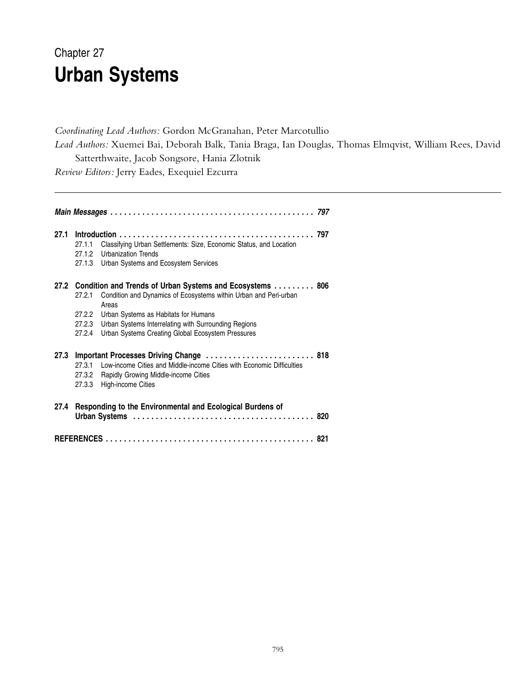# Chapter 27 **Urban Systems**

*Coordinating Lead Authors:* Gordon McGranahan, Peter Marcotullio

*Lead Authors:* Xuemei Bai, Deborah Balk, Tania Braga, Ian Douglas, Thomas Elmqvist, William Rees, David Satterthwaite, Jacob Songsore, Hania Zlotnik

*Review Editors:* Jerry Eades, Exequiel Ezcurra

| 27.1 | 27.1.1 | Classifying Urban Settlements: Size, Economic Status, and Location<br>27.1.2 Urbanization Trends<br>27.1.3 Urban Systems and Ecosystem Services |  |
|------|--------|-------------------------------------------------------------------------------------------------------------------------------------------------|--|
|      |        | 27.2 Condition and Trends of Urban Systems and Ecosystems  806                                                                                  |  |
|      | 27.2.1 | Condition and Dynamics of Ecosystems within Urban and Peri-urban<br>Areas                                                                       |  |
|      |        | 27.2.2 Urban Systems as Habitats for Humans                                                                                                     |  |
|      |        | 27.2.3 Urban Systems Interrelating with Surrounding Regions                                                                                     |  |
|      |        | 27.2.4 Urban Systems Creating Global Ecosystem Pressures                                                                                        |  |
| 27.3 |        | Important Processes Driving Change  818                                                                                                         |  |
|      | 27.3.1 | Low-income Cities and Middle-income Cities with Economic Difficulties                                                                           |  |
|      |        | 27.3.2 Rapidly Growing Middle-income Cities                                                                                                     |  |
|      | 27.3.3 | <b>High-income Cities</b>                                                                                                                       |  |
| 27.4 |        | Responding to the Environmental and Ecological Burdens of                                                                                       |  |
|      |        |                                                                                                                                                 |  |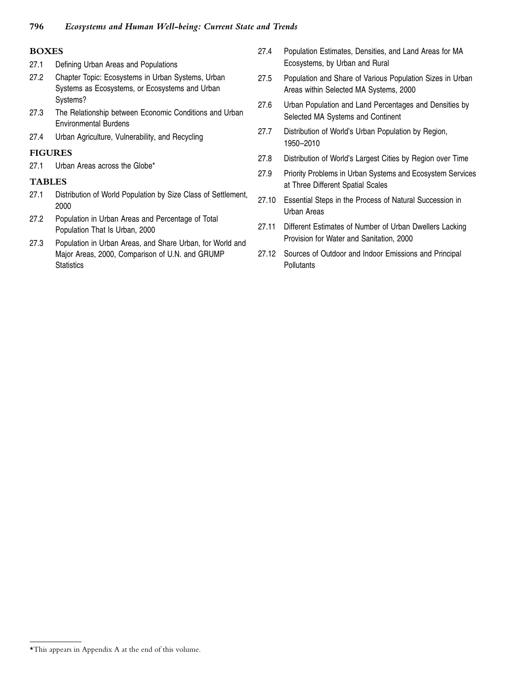# **BOXES**

- 27.1 Defining Urban Areas and Populations
- 27.2 Chapter Topic: Ecosystems in Urban Systems, Urban Systems as Ecosystems, or Ecosystems and Urban Systems?
- 27.3 The Relationship between Economic Conditions and Urban Environmental Burdens
- 27.4 Urban Agriculture, Vulnerability, and Recycling

# **FIGURES**

27.1 Urban Areas across the Globe\*

# **TABLES**

- 27.1 Distribution of World Population by Size Class of Settlement, 2000
- 27.2 Population in Urban Areas and Percentage of Total Population That Is Urban, 2000
- 27.3 Population in Urban Areas, and Share Urban, for World and Major Areas, 2000, Comparison of U.N. and GRUMP **Statistics**
- 27.4 Population Estimates, Densities, and Land Areas for MA Ecosystems, by Urban and Rural
- 27.5 Population and Share of Various Population Sizes in Urban Areas within Selected MA Systems, 2000
- 27.6 Urban Population and Land Percentages and Densities by Selected MA Systems and Continent
- 27.7 Distribution of World's Urban Population by Region, 1950–2010
- 27.8 Distribution of World's Largest Cities by Region over Time
- 27.9 Priority Problems in Urban Systems and Ecosystem Services at Three Different Spatial Scales
- 27.10 Essential Steps in the Process of Natural Succession in Urban Areas
- 27.11 Different Estimates of Number of Urban Dwellers Lacking Provision for Water and Sanitation, 2000
- 27.12 Sources of Outdoor and Indoor Emissions and Principal **Pollutants**

<sup>\*</sup>This appears in Appendix A at the end of this volume.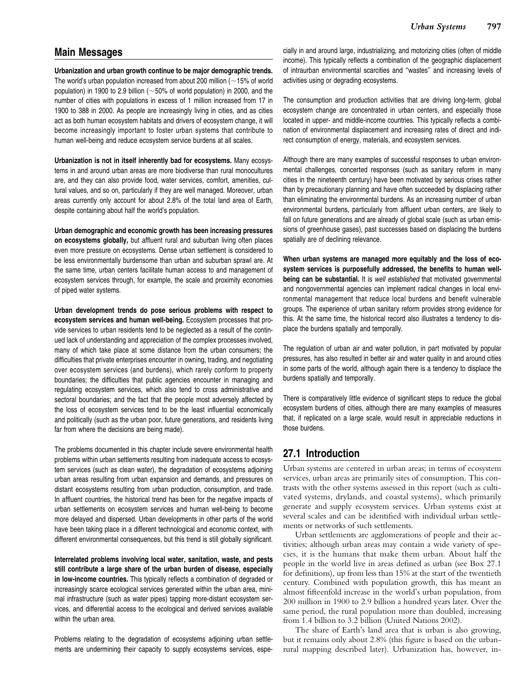# **Main Messages**

**Urbanization and urban growth continue to be major demographic trends.** The world's urban population increased from about 200 million ( $\sim$ 15% of world population) in 1900 to 2.9 billion ( $\sim$ 50% of world population) in 2000, and the number of cities with populations in excess of 1 million increased from 17 in 1900 to 388 in 2000. As people are increasingly living in cities, and as cities act as both human ecosystem habitats and drivers of ecosystem change, it will become increasingly important to foster urban systems that contribute to human well-being and reduce ecosystem service burdens at all scales.

**Urbanization is not in itself inherently bad for ecosystems.** Many ecosystems in and around urban areas are more biodiverse than rural monocultures are, and they can also provide food, water services, comfort, amenities, cultural values, and so on, particularly if they are well managed. Moreover, urban areas currently only account for about 2.8% of the total land area of Earth, despite containing about half the world's population.

**Urban demographic and economic growth has been increasing pressures on ecosystems globally,** but affluent rural and suburban living often places even more pressure on ecosystems. Dense urban settlement is considered to be less environmentally burdensome than urban and suburban sprawl are. At the same time, urban centers facilitate human access to and management of ecosystem services through, for example, the scale and proximity economies of piped water systems.

**Urban development trends do pose serious problems with respect to ecosystem services and human well-being.** Ecosystem processes that provide services to urban residents tend to be neglected as a result of the continued lack of understanding and appreciation of the complex processes involved, many of which take place at some distance from the urban consumers; the difficulties that private enterprises encounter in owning, trading, and negotiating over ecosystem services (and burdens), which rarely conform to property boundaries; the difficulties that public agencies encounter in managing and regulating ecosystem services, which also tend to cross administrative and sectoral boundaries; and the fact that the people most adversely affected by the loss of ecosystem services tend to be the least influential economically and politically (such as the urban poor, future generations, and residents living far from where the decisions are being made).

The problems documented in this chapter include severe environmental health problems within urban settlements resulting from inadequate access to ecosystem services (such as clean water), the degradation of ecosystems adjoining urban areas resulting from urban expansion and demands, and pressures on distant ecosystems resulting from urban production, consumption, and trade. In affluent countries, the historical trend has been for the negative impacts of urban settlements on ecosystem services and human well-being to become more delayed and dispersed. Urban developments in other parts of the world have been taking place in a different technological and economic context, with different environmental consequences, but this trend is still globally significant.

**Interrelated problems involving local water, sanitation, waste, and pests still contribute a large share of the urban burden of disease, especially in low-income countries.** This typically reflects a combination of degraded or increasingly scarce ecological services generated within the urban area, minimal infrastructure (such as water pipes) tapping more-distant ecosystem services, and differential access to the ecological and derived services available within the urban area.

Problems relating to the degradation of ecosystems adjoining urban settlements are undermining their capacity to supply ecosystems services, especially in and around large, industrializing, and motorizing cities (often of middle income). This typically reflects a combination of the geographic displacement of intraurban environmental scarcities and ''wastes'' and increasing levels of activities using or degrading ecosystems.

The consumption and production activities that are driving long-term, global ecosystem change are concentrated in urban centers, and especially those located in upper- and middle-income countries. This typically reflects a combination of environmental displacement and increasing rates of direct and indirect consumption of energy, materials, and ecosystem services.

Although there are many examples of successful responses to urban environmental challenges, concerted responses (such as sanitary reform in many cities in the nineteenth century) have been motivated by serious crises rather than by precautionary planning and have often succeeded by displacing rather than eliminating the environmental burdens. As an increasing number of urban environmental burdens, particularly from affluent urban centers, are likely to fall on future generations and are already of global scale (such as urban emissions of greenhouse gases), past successes based on displacing the burdens spatially are of declining relevance.

**When urban systems are managed more equitably and the loss of ecosystem services is purposefully addressed, the benefits to human wellbeing can be substantial.** It is *well established* that motivated governmental and nongovernmental agencies can implement radical changes in local environmental management that reduce local burdens and benefit vulnerable groups. The experience of urban sanitary reform provides strong evidence for this. At the same time, the historical record also illustrates a tendency to displace the burdens spatially and temporally.

The regulation of urban air and water pollution, in part motivated by popular pressures, has also resulted in better air and water quality in and around cities in some parts of the world, although again there is a tendency to displace the burdens spatially and temporally.

There is comparatively little evidence of significant steps to reduce the global ecosystem burdens of cities, although there are many examples of measures that, if replicated on a large scale, would result in appreciable reductions in those burdens.

# **27.1 Introduction**

Urban systems are centered in urban areas; in terms of ecosystem services, urban areas are primarily sites of consumption. This contrasts with the other systems assessed in this report (such as cultivated systems, drylands, and coastal systems), which primarily generate and supply ecosystem services. Urban systems exist at several scales and can be identified with individual urban settlements or networks of such settlements.

Urban settlements are agglomerations of people and their activities; although urban areas may contain a wide variety of species, it is the humans that make them urban. About half the people in the world live in areas defined as urban (see Box 27.1 for definitions), up from less than 15% at the start of the twentieth century. Combined with population growth, this has meant an almost fifteenfold increase in the world's urban population, from 200 million in 1900 to 2.9 billion a hundred years later. Over the same period, the rural population more than doubled, increasing from 1.4 billion to 3.2 billion (United Nations 2002).

The share of Earth's land area that is urban is also growing, but it remains only about 2.8% (this figure is based on the urbanrural mapping described later). Urbanization has, however, in-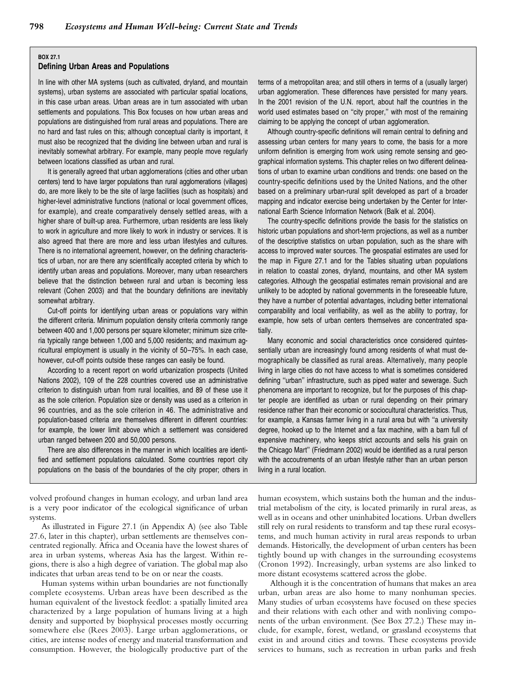# **BOX 27.1**

## **Defining Urban Areas and Populations**

In line with other MA systems (such as cultivated, dryland, and mountain terms of a metropolitan area; and still others in terms of a (usually larger) systems), urban systems are associated with particular spatial locations, urban agglomeration. These differences have persisted for many years. in this case urban areas. Urban areas are in turn associated with urban In the 2001 revision of the U.N. report, about half the countries in the settlements and populations. This Box focuses on how urban areas and world used estimates based on ''city proper,'' with most of the remaining populations are distinguished from rural areas and populations. There are claiming to be applying the concept of urban agglomeration. no hard and fast rules on this; although conceptual clarity is important, it Although country-specific definitions will remain central to defining and must also be recognized that the dividing line between urban and rural is assessing urban centers for many years to come, the basis for a more between locations classified as urban and rural. Graphical information systems. This chapter relies on two different delinea-

centers) tend to have larger populations than rural agglomerations (villages) country-specific definitions used by the United Nations, and the other do, are more likely to be the site of large facilities (such as hospitals) and based on a preliminary urban-rural split developed as part of a broader higher-level administrative functions (national or local government offices, mapping and indicator exercise being undertaken by the Center for Interfor example), and create comparatively densely settled areas, with a national Earth Science Information Network (Balk et al. 2004). higher share of built-up area. Furthermore, urban residents are less likely The country-specific definitions provide the basis for the statistics on to work in agriculture and more likely to work in industry or services. It is historic urban populations and short-term projections, as well as a number also agreed that there are more and less urban lifestyles and cultures. of the descriptive statistics on urban population, such as the share with There is no international agreement, however, on the defining characteris- access to improved water sources. The geospatial estimates are used for tics of urban, nor are there any scientifically accepted criteria by which to the map in Figure 27.1 and for the Tables situating urban populations identify urban areas and populations. Moreover, many urban researchers in relation to coastal zones, dryland, mountains, and other MA system believe that the distinction between rural and urban is becoming less categories. Although the geospatial estimates remain provisional and are relevant (Cohen 2003) and that the boundary definitions are inevitably unlikely to be adopted by national governments in the foreseeable future, somewhat arbitrary. They have a number of potential advantages, including better international

the different criteria. Minimum population density criteria commonly range example, how sets of urban centers themselves are concentrated spabetween 400 and 1,000 persons per square kilometer; minimum size crite- tially. ria typically range between 1,000 and 5,000 residents; and maximum ag- Many economic and social characteristics once considered quintesricultural employment is usually in the vicinity of 50–75%. In each case, sentially urban are increasingly found among residents of what must dehowever, cut-off points outside these ranges can easily be found. The mographically be classified as rural areas. Alternatively, many people

Nations 2002), 109 of the 228 countries covered use an administrative defining "urban" infrastructure, such as piped water and sewerage. Such criterion to distinguish urban from rural localities, and 89 of these use it phenomena are important to recognize, but for the purposes of this chapas the sole criterion. Population size or density was used as a criterion in ter people are identified as urban or rural depending on their primary 96 countries, and as the sole criterion in 46. The administrative and residence rather than their economic or sociocultural characteristics. Thus, population-based criteria are themselves different in different countries: for example, a Kansas farmer living in a rural area but with "a university for example, the lower limit above which a settlement was considered degree, hooked up to the Internet and a fax machine, with a barn full of urban ranged between 200 and 50,000 persons. expensive machinery, who keeps strict accounts and sells his grain on

fied and settlement populations calculated. Some countries report city with the accoutrements of an urban lifestyle rather than an urban person populations on the basis of the boundaries of the city proper; others in living in a rural location.

volved profound changes in human ecology, and urban land area is a very poor indicator of the ecological significance of urban systems.

As illustrated in Figure 27.1 (in Appendix A) (see also Table 27.6, later in this chapter), urban settlements are themselves concentrated regionally. Africa and Oceania have the lowest shares of area in urban systems, whereas Asia has the largest. Within regions, there is also a high degree of variation. The global map also indicates that urban areas tend to be on or near the coasts.

Human systems within urban boundaries are not functionally complete ecosystems. Urban areas have been described as the human equivalent of the livestock feedlot: a spatially limited area characterized by a large population of humans living at a high density and supported by biophysical processes mostly occurring somewhere else (Rees 2003). Large urban agglomerations, or cities, are intense nodes of energy and material transformation and consumption. However, the biologically productive part of the

inevitably somewhat arbitrary. For example, many people move regularly uniform definition is emerging from work using remote sensing and geo-It is generally agreed that urban agglomerations (cities and other urban tions of urban to examine urban conditions and trends: one based on the

Cut-off points for identifying urban areas or populations vary within comparability and local verifiability, as well as the ability to portray, for

According to a recent report on world urbanization prospects (United living in large cities do not have access to what is sometimes considered There are also differences in the manner in which localities are identi- the Chicago Mart'' (Friedmann 2002) would be identified as a rural person

> human ecosystem, which sustains both the human and the industrial metabolism of the city, is located primarily in rural areas, as well as in oceans and other uninhabited locations. Urban dwellers still rely on rural residents to transform and tap these rural ecosystems, and much human activity in rural areas responds to urban demands. Historically, the development of urban centers has been tightly bound up with changes in the surrounding ecosystems (Cronon 1992). Increasingly, urban systems are also linked to more distant ecosystems scattered across the globe.

> Although it is the concentration of humans that makes an area urban, urban areas are also home to many nonhuman species. Many studies of urban ecosystems have focused on these species and their relations with each other and with nonliving components of the urban environment. (See Box 27.2.) These may include, for example, forest, wetland, or grassland ecosystems that exist in and around cities and towns. These ecosystems provide services to humans, such as recreation in urban parks and fresh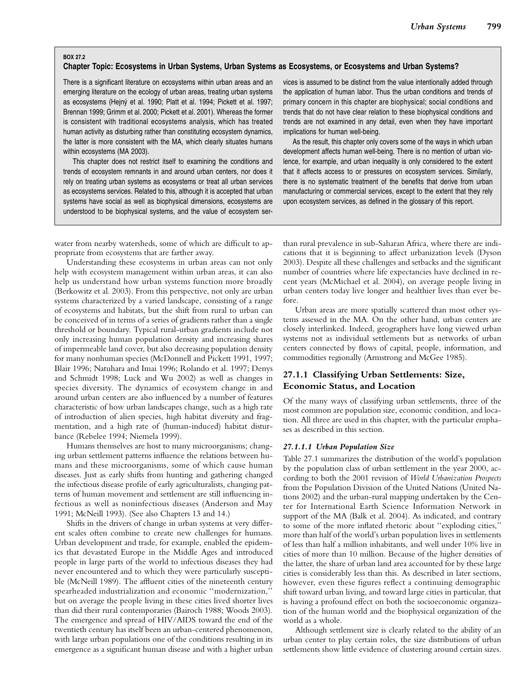#### **BOX 27.2**

## **Chapter Topic: Ecosystems in Urban Systems, Urban Systems as Ecosystems, or Ecosystems and Urban Systems?**

emerging literature on the ecology of urban areas, treating urban systems the application of human labor. Thus the urban conditions and trends of as ecosystems (Heiný et al. 1990; Platt et al. 1994; Pickett et al. 1997; primary concern in this chapter are biophysical; social conditions and Brennan 1999; Grimm et al. 2000; Pickett et al. 2001). Whereas the former trends that do not have clear relation to these biophysical conditions and human activity as disturbing rather than constituting ecosystem dynamics, implications for human well-being. the latter is more consistent with the MA, which clearly situates humans As the result, this chapter only covers some of the ways in which urban within ecosystems (MA 2003). The cosystems (MA 2003). There is no mention of urban vio-

trends of ecosystem remnants in and around urban centers, nor does it that it affects access to or pressures on ecosystem services. Similarly, rely on treating urban systems as ecosystems or treat all urban services there is no systematic treatment of the benefits that derive from urban as ecosystems services. Related to this, although it is accepted that urban manufacturing or commercial services, except to the extent that they rely systems have social as well as biophysical dimensions, ecosystems are upon ecosystem services, as defined in the glossary of this report. understood to be biophysical systems, and the value of ecosystem ser-

There is a significant literature on ecosystems within urban areas and an vices is assumed to be distinct from the value intentionally added through is consistent with traditional ecosystems analysis, which has treated trends are not examined in any detail, even when they have important

This chapter does not restrict itself to examining the conditions and lence, for example, and urban inequality is only considered to the extent

water from nearby watersheds, some of which are difficult to appropriate from ecosystems that are farther away.

Understanding these ecosystems in urban areas can not only help with ecosystem management within urban areas, it can also help us understand how urban systems function more broadly (Berkowitz et al. 2003). From this perspective, not only are urban systems characterized by a varied landscape, consisting of a range of ecosystems and habitats, but the shift from rural to urban can be conceived of in terms of a series of gradients rather than a single threshold or boundary. Typical rural-urban gradients include not only increasing human population density and increasing shares of impermeable land cover, but also decreasing population density for many nonhuman species (McDonnell and Pickett 1991, 1997; Blair 1996; Natuhara and Imai 1996; Rolando et al. 1997; Denys and Schmidt 1998; Luck and Wu 2002) as well as changes in species diversity. The dynamics of ecosystem change in and around urban centers are also influenced by a number of features characteristic of how urban landscapes change, such as a high rate of introduction of alien species, high habitat diversity and fragmentation, and a high rate of (human-induced) habitat disturbance (Rebelee 1994; Niemela 1999).

Humans themselves are host to many microorganisms; changing urban settlement patterns influence the relations between humans and these microorganisms, some of which cause human diseases. Just as early shifts from hunting and gathering changed the infectious disease profile of early agriculturalists, changing patterns of human movement and settlement are still influencing infectious as well as noninfectious diseases (Anderson and May 1991; McNeill 1993). (See also Chapters 13 and 14.)

Shifts in the drivers of change in urban systems at very different scales often combine to create new challenges for humans. Urban development and trade, for example, enabled the epidemics that devastated Europe in the Middle Ages and introduced people in large parts of the world to infectious diseases they had never encountered and to which they were particularly susceptible (McNeill 1989). The affluent cities of the nineteenth century spearheaded industrialization and economic ''modernization,'' but on average the people living in these cities lived shorter lives than did their rural contemporaries (Bairoch 1988; Woods 2003). The emergence and spread of HIV/AIDS toward the end of the twentieth century has itself been an urban-centered phenomenon, with large urban populations one of the conditions resulting in its emergence as a significant human disease and with a higher urban

than rural prevalence in sub-Saharan Africa, where there are indications that it is beginning to affect urbanization levels (Dyson 2003). Despite all these challenges and setbacks and the significant number of countries where life expectancies have declined in recent years (McMichael et al. 2004), on average people living in urban centers today live longer and healthier lives than ever before.

Urban areas are more spatially scattered than most other systems assessed in the MA. On the other hand, urban centers are closely interlinked. Indeed, geographers have long viewed urban systems not as individual settlements but as networks of urban centers connected by flows of capital, people, information, and commodities regionally (Armstrong and McGee 1985).

# **27.1.1 Classifying Urban Settlements: Size, Economic Status, and Location**

Of the many ways of classifying urban settlements, three of the most common are population size, economic condition, and location. All three are used in this chapter, with the particular emphases as described in this section.

## *27.1.1.1 Urban Population Size*

Table 27.1 summarizes the distribution of the world's population by the population class of urban settlement in the year 2000, according to both the 2001 revision of *World Urbanization Prospects* from the Population Division of the United Nations (United Nations 2002) and the urban-rural mapping undertaken by the Center for International Earth Science Information Network in support of the MA (Balk et al. 2004). As indicated, and contrary to some of the more inflated rhetoric about ''exploding cities,'' more than half of the world's urban population lives in settlements of less than half a million inhabitants, and well under 10% live in cities of more than 10 million. Because of the higher densities of the latter, the share of urban land area accounted for by these large cities is considerably less than this. As described in later sections, however, even these figures reflect a continuing demographic shift toward urban living, and toward large cities in particular, that is having a profound effect on both the socioeconomic organization of the human world and the biophysical organization of the world as a whole.

Although settlement size is clearly related to the ability of an urban center to play certain roles, the size distributions of urban settlements show little evidence of clustering around certain sizes.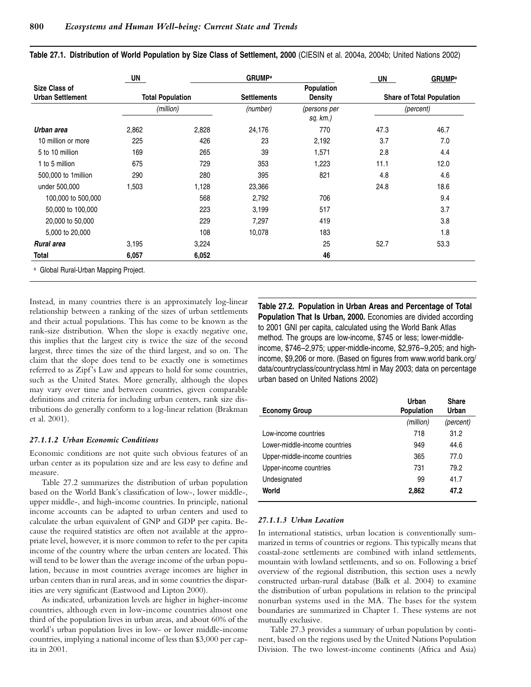|                                                  | UN                      |           | <b>GRUMP</b> <sup>a</sup> |                | UN   | <b>GRUMP</b> <sup>a</sup>        |
|--------------------------------------------------|-------------------------|-----------|---------------------------|----------------|------|----------------------------------|
| Size Class of                                    |                         |           |                           | Population     |      |                                  |
| <b>Urban Settlement</b>                          | <b>Total Population</b> |           | <b>Settlements</b>        | <b>Density</b> |      | <b>Share of Total Population</b> |
|                                                  |                         | (million) | (number)                  | (persons per   |      | (percent)                        |
|                                                  |                         |           |                           | sq. km.)       |      |                                  |
| Urban area                                       | 2,862                   | 2,828     | 24,176                    | 770            | 47.3 | 46.7                             |
| 10 million or more                               | 225                     | 426       | 23                        | 2,192          | 3.7  | 7.0                              |
| 5 to 10 million                                  | 169                     | 265       | 39                        | 1,571          | 2.8  | 4.4                              |
| 1 to 5 million                                   | 675                     | 729       | 353                       | 1,223          | 11.1 | 12.0                             |
| 500,000 to 1 million                             | 290                     | 280       | 395                       | 821            | 4.8  | 4.6                              |
| under 500,000                                    | 1,503                   | 1,128     | 23,366                    |                | 24.8 | 18.6                             |
| 100,000 to 500,000                               |                         | 568       | 2,792                     | 706            |      | 9.4                              |
| 50,000 to 100,000                                |                         | 223       | 3,199                     | 517            |      | 3.7                              |
| 20,000 to 50,000                                 |                         | 229       | 7,297                     | 419            |      | 3.8                              |
| 5,000 to 20,000                                  |                         | 108       | 10,078                    | 183            |      | 1.8                              |
| <b>Rural</b> area                                | 3,195                   | 3,224     |                           | 25             | 52.7 | 53.3                             |
| Total                                            | 6,057                   | 6,052     |                           | 46             |      |                                  |
| <sup>a</sup> Global Rural-Urban Mapping Project. |                         |           |                           |                |      |                                  |

**Table 27.1. Distribution of World Population by Size Class of Settlement, 2000** (CIESIN et al. 2004a, 2004b; United Nations 2002)

Instead, in many countries there is an approximately log-linear relationship between a ranking of the sizes of urban settlements and their actual populations. This has come to be known as the rank-size distribution. When the slope is exactly negative one, this implies that the largest city is twice the size of the second largest, three times the size of the third largest, and so on. The claim that the slope does tend to be exactly one is sometimes referred to as Zipf 's Law and appears to hold for some countries, such as the United States. More generally, although the slopes may vary over time and between countries, given comparable definitions and criteria for including urban centers, rank size distributions do generally conform to a log-linear relation (Brakman et al. 2001).

#### *27.1.1.2 Urban Economic Conditions*

Economic conditions are not quite such obvious features of an urban center as its population size and are less easy to define and measure.

Table 27.2 summarizes the distribution of urban population based on the World Bank's classification of low-, lower middle-, upper middle-, and high-income countries. In principle, national income accounts can be adapted to urban centers and used to calculate the urban equivalent of GNP and GDP per capita. Because the required statistics are often not available at the appropriate level, however, it is more common to refer to the per capita income of the country where the urban centers are located. This will tend to be lower than the average income of the urban population, because in most countries average incomes are higher in urban centers than in rural areas, and in some countries the disparities are very significant (Eastwood and Lipton 2000).

As indicated, urbanization levels are higher in higher-income countries, although even in low-income countries almost one third of the population lives in urban areas, and about 60% of the world's urban population lives in low- or lower middle-income countries, implying a national income of less than \$3,000 per capita in 2001.

**Table 27.2. Population in Urban Areas and Percentage of Total Population That Is Urban, 2000.** Economies are divided according to 2001 GNI per capita, calculated using the World Bank Atlas method. The groups are low-income, \$745 or less; lower-middleincome, \$746–2,975; upper-middle-income, \$2,976–9,205; and highincome, \$9,206 or more. (Based on figures from www.world bank.org/ data/countryclass/countryclass.html in May 2003; data on percentage urban based on United Nations 2002)

| <b>Economy Group</b>          | Urban<br>Population | <b>Share</b><br>Urban |
|-------------------------------|---------------------|-----------------------|
|                               | (million)           | (percent)             |
| Low-income countries          | 718                 | 31.2                  |
| Lower-middle-income countries | 949                 | 44.6                  |
| Upper-middle-income countries | 365                 | 77.0                  |
| Upper-income countries        | 731                 | 79.2                  |
| Undesignated                  | 99                  | 41.7                  |
| World                         | 2,862               | 47.2                  |

#### *27.1.1.3 Urban Location*

In international statistics, urban location is conventionally summarized in terms of countries or regions. This typically means that coastal-zone settlements are combined with inland settlements, mountain with lowland settlements, and so on. Following a brief overview of the regional distribution, this section uses a newly constructed urban-rural database (Balk et al. 2004) to examine the distribution of urban populations in relation to the principal nonurban systems used in the MA. The bases for the system boundaries are summarized in Chapter 1. These systems are not mutually exclusive.

Table 27.3 provides a summary of urban population by continent, based on the regions used by the United Nations Population Division. The two lowest-income continents (Africa and Asia)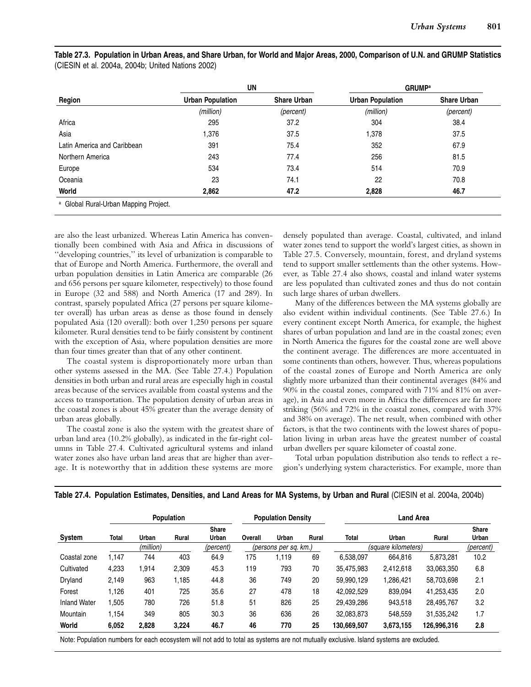|                             | UN                      |                    | <b>GRUMP</b> <sup>a</sup> |                    |  |
|-----------------------------|-------------------------|--------------------|---------------------------|--------------------|--|
| Region                      | <b>Urban Population</b> | <b>Share Urban</b> | <b>Urban Population</b>   | <b>Share Urban</b> |  |
|                             | (million)               | (percent)          | (million)                 | (percent)          |  |
| Africa                      | 295                     | 37.2               | 304                       | 38.4               |  |
| Asia                        | 1,376                   | 37.5               | 1,378                     | 37.5               |  |
| Latin America and Caribbean | 391                     | 75.4               | 352                       | 67.9               |  |
| Northern America            | 243                     | 77.4               | 256                       | 81.5               |  |
| Europe                      | 534                     | 73.4               | 514                       | 70.9               |  |
| Oceania                     | 23                      | 74.1               | 22                        | 70.8               |  |
| World                       | 2,862                   | 47.2               | 2,828                     | 46.7               |  |

**Table 27.3. Population in Urban Areas, and Share Urban, for World and Major Areas, 2000, Comparison of U.N. and GRUMP Statistics** (CIESIN et al. 2004a, 2004b; United Nations 2002)

are also the least urbanized. Whereas Latin America has conventionally been combined with Asia and Africa in discussions of ''developing countries,'' its level of urbanization is comparable to that of Europe and North America. Furthermore, the overall and urban population densities in Latin America are comparable (26 and 656 persons per square kilometer, respectively) to those found in Europe (32 and 588) and North America (17 and 289). In contrast, sparsely populated Africa (27 persons per square kilometer overall) has urban areas as dense as those found in densely populated Asia (120 overall): both over 1,250 persons per square kilometer. Rural densities tend to be fairly consistent by continent with the exception of Asia, where population densities are more than four times greater than that of any other continent.

The coastal system is disproportionately more urban than other systems assessed in the MA. (See Table 27.4.) Population densities in both urban and rural areas are especially high in coastal areas because of the services available from coastal systems and the access to transportation. The population density of urban areas in the coastal zones is about 45% greater than the average density of urban areas globally.

The coastal zone is also the system with the greatest share of urban land area (10.2% globally), as indicated in the far-right columns in Table 27.4. Cultivated agricultural systems and inland water zones also have urban land areas that are higher than average. It is noteworthy that in addition these systems are more densely populated than average. Coastal, cultivated, and inland water zones tend to support the world's largest cities, as shown in Table 27.5. Conversely, mountain, forest, and dryland systems tend to support smaller settlements than the other systems. However, as Table 27.4 also shows, coastal and inland water systems are less populated than cultivated zones and thus do not contain such large shares of urban dwellers.

Many of the differences between the MA systems globally are also evident within individual continents. (See Table 27.6.) In every continent except North America, for example, the highest shares of urban population and land are in the coastal zones; even in North America the figures for the coastal zone are well above the continent average. The differences are more accentuated in some continents than others, however. Thus, whereas populations of the coastal zones of Europe and North America are only slightly more urbanized than their continental averages (84% and 90% in the coastal zones, compared with 71% and 81% on average), in Asia and even more in Africa the differences are far more striking (56% and 72% in the coastal zones, compared with 37% and 38% on average). The net result, when combined with other factors, is that the two continents with the lowest shares of population living in urban areas have the greatest number of coastal urban dwellers per square kilometer of coastal zone.

Total urban population distribution also tends to reflect a region's underlying system characteristics. For example, more than

| Table 27.4. Population Estimates, Densities, and Land Areas for MA Systems, by Urban and Rural (CIESIN et al. 2004a, 2004b) |  |  |  |  |  |
|-----------------------------------------------------------------------------------------------------------------------------|--|--|--|--|--|
|-----------------------------------------------------------------------------------------------------------------------------|--|--|--|--|--|

|                     |       |           | <b>Population</b> |                       |         | <b>Population Density</b> |       |             | <b>Land Area</b>    |             |                |
|---------------------|-------|-----------|-------------------|-----------------------|---------|---------------------------|-------|-------------|---------------------|-------------|----------------|
| System              | Total | Urban     | Rural             | <b>Share</b><br>Urban | Overall | Urban                     | Rural | Total       | Urban               | Rural       | Share<br>Urban |
|                     |       | (million) |                   | (percent)             |         | (persons per sq. km.)     |       |             | (square kilometers) |             | (percent)      |
| Coastal zone        | 1.147 | 744       | 403               | 64.9                  | 175     | 1,119                     | 69    | 6,538,097   | 664.816             | 5,873,281   | 10.2           |
| Cultivated          | 4,233 | 1,914     | 2,309             | 45.3                  | 119     | 793                       | 70    | 35,475,983  | 2,412,618           | 33,063,350  | 6.8            |
| Dryland             | 2,149 | 963       | 1,185             | 44.8                  | 36      | 749                       | 20    | 59,990,129  | ,286,421            | 58,703,698  | 2.1            |
| Forest              | 1.126 | 401       | 725               | 35.6                  | 27      | 478                       | 18    | 42,092,529  | 839,094             | 41,253,435  | 2.0            |
| <b>Inland Water</b> | 1,505 | 780       | 726               | 51.8                  | 51      | 826                       | 25    | 29,439,286  | 943,518             | 28,495,767  | 3.2            |
| Mountain            | 1.154 | 349       | 805               | 30.3                  | 36      | 636                       | 26    | 32,083,873  | 548,559             | 31,535,242  | 1.7            |
| World               | 6,052 | 2,828     | 3,224             | 46.7                  | 46      | 770                       | 25    | 130,669,507 | 3,673,155           | 126,996,316 | 2.8            |

Note: Population numbers for each ecosystem will not add to total as systems are not mutually exclusive. Island systems are excluded.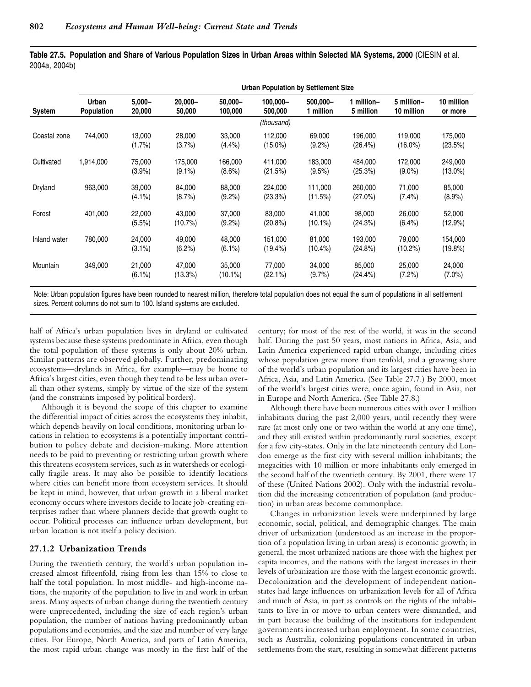**Table 27.5. Population and Share of Various Population Sizes in Urban Areas within Selected MA Systems, 2000** (CIESIN et al. 2004a, 2004b)

|              |                                   |                     |                      |                       | <b>Urban Population by Settlement Size</b> |                       |                         |                          |                       |
|--------------|-----------------------------------|---------------------|----------------------|-----------------------|--------------------------------------------|-----------------------|-------------------------|--------------------------|-----------------------|
| System       | <b>Urban</b><br><b>Population</b> | $5,000 -$<br>20,000 | $20,000 -$<br>50,000 | $50,000 -$<br>100,000 | 100,000-<br>500,000                        | 500,000-<br>1 million | 1 million-<br>5 million | 5 million-<br>10 million | 10 million<br>or more |
|              |                                   |                     |                      |                       | (thousand)                                 |                       |                         |                          |                       |
| Coastal zone | 744,000                           | 13,000<br>$(1.7\%)$ | 28,000<br>(3.7%)     | 33,000<br>$(4.4\%)$   | 112,000<br>$(15.0\%)$                      | 69,000<br>$(9.2\%)$   | 196,000<br>(26.4%)      | 119,000<br>$(16.0\%)$    | 175,000<br>(23.5%)    |
| Cultivated   | 1,914,000                         | 75,000<br>$(3.9\%)$ | 175,000<br>$(9.1\%)$ | 166,000<br>$(8.6\%)$  | 411,000<br>(21.5%)                         | 183,000<br>$(9.5\%)$  | 484,000<br>(25.3%)      | 172,000<br>$(9.0\%)$     | 249,000<br>$(13.0\%)$ |
| Dryland      | 963,000                           | 39,000<br>$(4.1\%)$ | 84,000<br>(8.7%)     | 88,000<br>$(9.2\%)$   | 224,000<br>(23.3%)                         | 111,000<br>(11.5%)    | 260,000<br>$(27.0\%)$   | 71,000<br>$(7.4\%)$      | 85,000<br>$(8.9\%)$   |
| Forest       | 401,000                           | 22,000<br>$(5.5\%)$ | 43,000<br>$(10.7\%)$ | 37,000<br>$(9.2\%)$   | 83,000<br>(20.8%)                          | 41,000<br>$(10.1\%)$  | 98,000<br>(24.3%)       | 26,000<br>$(6.4\%)$      | 52,000<br>$(12.9\%)$  |
| Inland water | 780,000                           | 24,000<br>$(3.1\%)$ | 49,000<br>$(6.2\%)$  | 48,000<br>$(6.1\%)$   | 151,000<br>$(19.4\%)$                      | 81,000<br>$(10.4\%)$  | 193,000<br>(24.8%)      | 79,000<br>$(10.2\%)$     | 154,000<br>(19.8%)    |
| Mountain     | 349,000                           | 21,000<br>$(6.1\%)$ | 47,000<br>(13.3%)    | 35,000<br>$(10.1\%)$  | 77,000<br>(22.1%)                          | 34,000<br>$(9.7\%)$   | 85,000<br>(24.4%)       | 25,000<br>(7.2%)         | 24,000<br>$(7.0\%)$   |

Note: Urban population figures have been rounded to nearest million, therefore total population does not equal the sum of populations in all settlement sizes. Percent columns do not sum to 100. Island systems are excluded.

half of Africa's urban population lives in dryland or cultivated systems because these systems predominate in Africa, even though the total population of these systems is only about 20% urban. Similar patterns are observed globally. Further, predominating ecosystems—drylands in Africa, for example—may be home to Africa's largest cities, even though they tend to be less urban overall than other systems, simply by virtue of the size of the system (and the constraints imposed by political borders).

Although it is beyond the scope of this chapter to examine the differential impact of cities across the ecosystems they inhabit, which depends heavily on local conditions, monitoring urban locations in relation to ecosystems is a potentially important contribution to policy debate and decision-making. More attention needs to be paid to preventing or restricting urban growth where this threatens ecosystem services, such as in watersheds or ecologically fragile areas. It may also be possible to identify locations where cities can benefit more from ecosystem services. It should be kept in mind, however, that urban growth in a liberal market economy occurs where investors decide to locate job-creating enterprises rather than where planners decide that growth ought to occur. Political processes can influence urban development, but urban location is not itself a policy decision.

#### **27.1.2 Urbanization Trends**

During the twentieth century, the world's urban population increased almost fifteenfold, rising from less than 15% to close to half the total population. In most middle- and high-income nations, the majority of the population to live in and work in urban areas. Many aspects of urban change during the twentieth century were unprecedented, including the size of each region's urban population, the number of nations having predominantly urban populations and economies, and the size and number of very large cities. For Europe, North America, and parts of Latin America, the most rapid urban change was mostly in the first half of the century; for most of the rest of the world, it was in the second half. During the past 50 years, most nations in Africa, Asia, and Latin America experienced rapid urban change, including cities whose population grew more than tenfold, and a growing share of the world's urban population and its largest cities have been in Africa, Asia, and Latin America. (See Table 27.7.) By 2000, most of the world's largest cities were, once again, found in Asia, not in Europe and North America. (See Table 27.8.)

Although there have been numerous cities with over 1 million inhabitants during the past 2,000 years, until recently they were rare (at most only one or two within the world at any one time), and they still existed within predominantly rural societies, except for a few city-states. Only in the late nineteenth century did London emerge as the first city with several million inhabitants; the megacities with 10 million or more inhabitants only emerged in the second half of the twentieth century. By 2001, there were 17 of these (United Nations 2002). Only with the industrial revolution did the increasing concentration of population (and production) in urban areas become commonplace.

Changes in urbanization levels were underpinned by large economic, social, political, and demographic changes. The main driver of urbanization (understood as an increase in the proportion of a population living in urban areas) is economic growth; in general, the most urbanized nations are those with the highest per capita incomes, and the nations with the largest increases in their levels of urbanization are those with the largest economic growth. Decolonization and the development of independent nationstates had large influences on urbanization levels for all of Africa and much of Asia, in part as controls on the rights of the inhabitants to live in or move to urban centers were dismantled, and in part because the building of the institutions for independent governments increased urban employment. In some countries, such as Australia, colonizing populations concentrated in urban settlements from the start, resulting in somewhat different patterns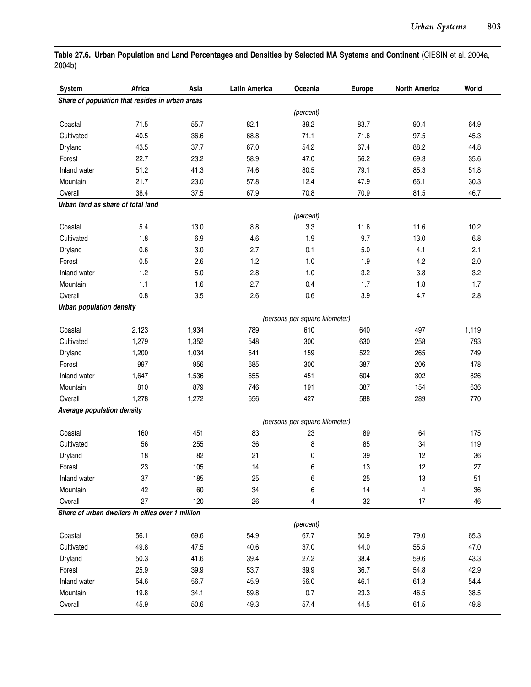**Table 27.6. Urban Population and Land Percentages and Densities by Selected MA Systems and Continent** (CIESIN et al. 2004a, 2004b)

| System                                           | Africa | Asia  | <b>Latin America</b> | Oceania                        | <b>Europe</b> | <b>North America</b>    | World  |
|--------------------------------------------------|--------|-------|----------------------|--------------------------------|---------------|-------------------------|--------|
| Share of population that resides in urban areas  |        |       |                      |                                |               |                         |        |
|                                                  |        |       |                      | (percent)                      |               |                         |        |
| Coastal                                          | 71.5   | 55.7  | 82.1                 | 89.2                           | 83.7          | 90.4                    | 64.9   |
| Cultivated                                       | 40.5   | 36.6  | 68.8                 | 71.1                           | 71.6          | 97.5                    | 45.3   |
| Dryland                                          | 43.5   | 37.7  | 67.0                 | 54.2                           | 67.4          | 88.2                    | 44.8   |
| Forest                                           | 22.7   | 23.2  | 58.9                 | 47.0                           | 56.2          | 69.3                    | 35.6   |
| Inland water                                     | 51.2   | 41.3  | 74.6                 | 80.5                           | 79.1          | 85.3                    | 51.8   |
| Mountain                                         | 21.7   | 23.0  | 57.8                 | 12.4                           | 47.9          | 66.1                    | 30.3   |
| Overall                                          | 38.4   | 37.5  | 67.9                 | 70.8                           | 70.9          | 81.5                    | 46.7   |
| Urban land as share of total land                |        |       |                      |                                |               |                         |        |
|                                                  |        |       |                      | (percent)                      |               |                         |        |
| Coastal                                          | 5.4    | 13.0  | 8.8                  | 3.3                            | 11.6          | 11.6                    | 10.2   |
| Cultivated                                       | 1.8    | 6.9   | 4.6                  | 1.9                            | 9.7           | 13.0                    | 6.8    |
| Dryland                                          | 0.6    | 3.0   | 2.7                  | 0.1                            | 5.0           | 4.1                     | 2.1    |
| Forest                                           | 0.5    | 2.6   | 1.2                  | 1.0                            | 1.9           | 4.2                     | 2.0    |
| Inland water                                     | 1.2    | 5.0   | 2.8                  | 1.0                            | 3.2           | 3.8                     | 3.2    |
| Mountain                                         | 1.1    | 1.6   | 2.7                  | 0.4                            | 1.7           | 1.8                     | 1.7    |
| Overall                                          | 0.8    | 3.5   | 2.6                  | 0.6                            | 3.9           | 4.7                     | 2.8    |
| <b>Urban population density</b>                  |        |       |                      |                                |               |                         |        |
|                                                  |        |       |                      | (persons per square kilometer) |               |                         |        |
| Coastal                                          | 2,123  | 1,934 | 789                  | 610                            | 640           | 497                     | 1,119  |
| Cultivated                                       | 1,279  | 1,352 | 548                  | 300                            | 630           | 258                     | 793    |
| Dryland                                          | 1,200  | 1,034 | 541                  | 159                            | 522           | 265                     | 749    |
| Forest                                           | 997    | 956   | 685                  | 300                            | 387           | 206                     | 478    |
| Inland water                                     | 1,647  | 1,536 | 655                  | 451                            | 604           | 302                     | 826    |
| Mountain                                         | 810    | 879   | 746                  | 191                            | 387           | 154                     | 636    |
| Overall                                          | 1,278  | 1,272 | 656                  | 427                            | 588           | 289                     | 770    |
| Average population density                       |        |       |                      |                                |               |                         |        |
|                                                  |        |       |                      | (persons per square kilometer) |               |                         |        |
| Coastal                                          | 160    | 451   | 83                   | 23                             | 89            | 64                      | 175    |
| Cultivated                                       | 56     | 255   | 36                   | 8                              | 85            | 34                      | 119    |
| Dryland                                          | 18     | 82    | 21                   | 0                              | 39            | 12                      | 36     |
| Forest                                           | 23     | 105   | 14                   | 6                              | 13            | 12                      | $27\,$ |
| Inland water                                     | 37     | 185   | 25                   | 6                              | 25            | 13                      | 51     |
| Mountain                                         | 42     | 60    | 34                   | 6                              | $14$          | $\overline{\mathbf{4}}$ | 36     |
| Overall                                          | 27     | 120   | 26                   | 4                              | 32            | 17                      | 46     |
| Share of urban dwellers in cities over 1 million |        |       |                      |                                |               |                         |        |
|                                                  |        |       |                      | (percent)                      |               |                         |        |
| Coastal                                          | 56.1   | 69.6  | 54.9                 | 67.7                           | 50.9          | 79.0                    | 65.3   |
| Cultivated                                       | 49.8   | 47.5  | 40.6                 | 37.0                           | 44.0          | 55.5                    | 47.0   |
| Dryland                                          | 50.3   | 41.6  | 39.4                 | 27.2                           | 38.4          | 59.6                    | 43.3   |
| Forest                                           | 25.9   | 39.9  | 53.7                 | 39.9                           | 36.7          | 54.8                    | 42.9   |
| Inland water                                     | 54.6   | 56.7  | 45.9                 | 56.0                           | 46.1          | 61.3                    | 54.4   |
| Mountain                                         | 19.8   | 34.1  | 59.8                 | $0.7\,$                        | 23.3          | 46.5                    | 38.5   |
| Overall                                          | 45.9   | 50.6  | 49.3                 | 57.4                           | 44.5          | 61.5                    | 49.8   |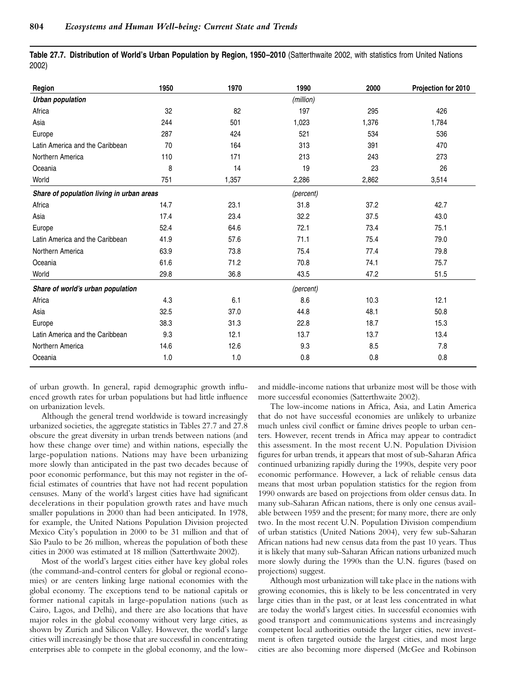|       | Table 27.7. Distribution of World's Urban Population by Region, 1950–2010 (Satterthwaite 2002, with statistics from United Nations |  |  |  |  |
|-------|------------------------------------------------------------------------------------------------------------------------------------|--|--|--|--|
| 2002) |                                                                                                                                    |  |  |  |  |

| Region                                    | 1950 | 1970  | 1990      | 2000  | Projection for 2010 |
|-------------------------------------------|------|-------|-----------|-------|---------------------|
| <b>Urban population</b>                   |      |       | (million) |       |                     |
| Africa                                    | 32   | 82    | 197       | 295   | 426                 |
| Asia                                      | 244  | 501   | 1,023     | 1,376 | 1,784               |
| Europe                                    | 287  | 424   | 521       | 534   | 536                 |
| Latin America and the Caribbean           | 70   | 164   | 313       | 391   | 470                 |
| Northern America                          | 110  | 171   | 213       | 243   | 273                 |
| Oceania                                   | 8    | 14    | 19        | 23    | 26                  |
| World                                     | 751  | 1,357 | 2,286     | 2,862 | 3,514               |
| Share of population living in urban areas |      |       | (percent) |       |                     |
| Africa                                    | 14.7 | 23.1  | 31.8      | 37.2  | 42.7                |
| Asia                                      | 17.4 | 23.4  | 32.2      | 37.5  | 43.0                |
| Europe                                    | 52.4 | 64.6  | 72.1      | 73.4  | 75.1                |
| Latin America and the Caribbean           | 41.9 | 57.6  | 71.1      | 75.4  | 79.0                |
| Northern America                          | 63.9 | 73.8  | 75.4      | 77.4  | 79.8                |
| Oceania                                   | 61.6 | 71.2  | 70.8      | 74.1  | 75.7                |
| World                                     | 29.8 | 36.8  | 43.5      | 47.2  | 51.5                |
| Share of world's urban population         |      |       | (percent) |       |                     |
| Africa                                    | 4.3  | 6.1   | 8.6       | 10.3  | 12.1                |
| Asia                                      | 32.5 | 37.0  | 44.8      | 48.1  | 50.8                |
| Europe                                    | 38.3 | 31.3  | 22.8      | 18.7  | 15.3                |
| Latin America and the Caribbean           | 9.3  | 12.1  | 13.7      | 13.7  | 13.4                |
| Northern America                          | 14.6 | 12.6  | 9.3       | 8.5   | 7.8                 |
| Oceania                                   | 1.0  | 1.0   | 0.8       | 0.8   | 0.8                 |

of urban growth. In general, rapid demographic growth influenced growth rates for urban populations but had little influence on urbanization levels.

Although the general trend worldwide is toward increasingly urbanized societies, the aggregate statistics in Tables 27.7 and 27.8 obscure the great diversity in urban trends between nations (and how these change over time) and within nations, especially the large-population nations. Nations may have been urbanizing more slowly than anticipated in the past two decades because of poor economic performance, but this may not register in the official estimates of countries that have not had recent population censuses. Many of the world's largest cities have had significant decelerations in their population growth rates and have much smaller populations in 2000 than had been anticipated. In 1978, for example, the United Nations Population Division projected Mexico City's population in 2000 to be 31 million and that of São Paulo to be 26 million, whereas the population of both these cities in 2000 was estimated at 18 million (Satterthwaite 2002).

Most of the world's largest cities either have key global roles (the command-and-control centers for global or regional economies) or are centers linking large national economies with the global economy. The exceptions tend to be national capitals or former national capitals in large-population nations (such as Cairo, Lagos, and Delhi), and there are also locations that have major roles in the global economy without very large cities, as shown by Zurich and Silicon Valley. However, the world's large cities will increasingly be those that are successful in concentrating enterprises able to compete in the global economy, and the lowand middle-income nations that urbanize most will be those with more successful economies (Satterthwaite 2002).

The low-income nations in Africa, Asia, and Latin America that do not have successful economies are unlikely to urbanize much unless civil conflict or famine drives people to urban centers. However, recent trends in Africa may appear to contradict this assessment. In the most recent U.N. Population Division figures for urban trends, it appears that most of sub-Saharan Africa continued urbanizing rapidly during the 1990s, despite very poor economic performance. However, a lack of reliable census data means that most urban population statistics for the region from 1990 onwards are based on projections from older census data. In many sub-Saharan African nations, there is only one census available between 1959 and the present; for many more, there are only two. In the most recent U.N. Population Division compendium of urban statistics (United Nations 2004), very few sub-Saharan African nations had new census data from the past 10 years. Thus it is likely that many sub-Saharan African nations urbanized much more slowly during the 1990s than the U.N. figures (based on projections) suggest.

Although most urbanization will take place in the nations with growing economies, this is likely to be less concentrated in very large cities than in the past, or at least less concentrated in what are today the world's largest cities. In successful economies with good transport and communications systems and increasingly competent local authorities outside the larger cities, new investment is often targeted outside the largest cities, and most large cities are also becoming more dispersed (McGee and Robinson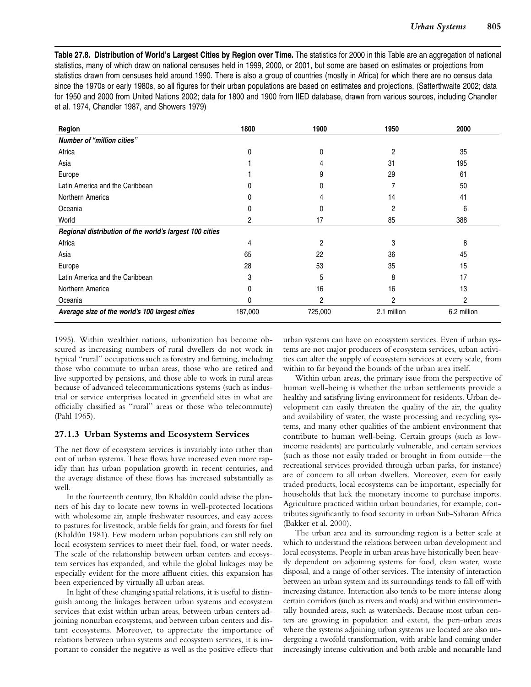**Table 27.8. Distribution of World's Largest Cities by Region over Time.** The statistics for 2000 in this Table are an aggregation of national statistics, many of which draw on national censuses held in 1999, 2000, or 2001, but some are based on estimates or projections from statistics drawn from censuses held around 1990. There is also a group of countries (mostly in Africa) for which there are no census data since the 1970s or early 1980s, so all figures for their urban populations are based on estimates and projections. (Satterthwaite 2002; data for 1950 and 2000 from United Nations 2002; data for 1800 and 1900 from IIED database, drawn from various sources, including Chandler et al. 1974, Chandler 1987, and Showers 1979)

| Region                                                  | 1800    | 1900    | 1950        | 2000        |
|---------------------------------------------------------|---------|---------|-------------|-------------|
| Number of "million cities"                              |         |         |             |             |
| Africa                                                  |         | 0       | 2           | 35          |
| Asia                                                    |         |         | 31          | 195         |
| Europe                                                  |         |         | 29          | 61          |
| Latin America and the Caribbean                         |         |         |             | 50          |
| Northern America                                        |         |         | 14          | 41          |
| Oceania                                                 |         |         | 2           | 6           |
| World                                                   | 2       | 17      | 85          | 388         |
| Regional distribution of the world's largest 100 cities |         |         |             |             |
| Africa                                                  | 4       | 2       | 3           | 8           |
| Asia                                                    | 65      | 22      | 36          | 45          |
| Europe                                                  | 28      | 53      | 35          | 15          |
| Latin America and the Caribbean                         | 3       | 5       | 8           | 17          |
| Northern America                                        | 0       | 16      | 16          | 13          |
| Oceania                                                 |         | 2       | 2           | 2           |
| Average size of the world's 100 largest cities          | 187,000 | 725,000 | 2.1 million | 6.2 million |

1995). Within wealthier nations, urbanization has become obscured as increasing numbers of rural dwellers do not work in typical ''rural'' occupations such as forestry and farming, including those who commute to urban areas, those who are retired and live supported by pensions, and those able to work in rural areas because of advanced telecommunications systems (such as industrial or service enterprises located in greenfield sites in what are officially classified as ''rural'' areas or those who telecommute) (Pahl 1965).

## **27.1.3 Urban Systems and Ecosystem Services**

The net flow of ecosystem services is invariably into rather than out of urban systems. These flows have increased even more rapidly than has urban population growth in recent centuries, and the average distance of these flows has increased substantially as well.

In the fourteenth century, Ibn Khaldûn could advise the planners of his day to locate new towns in well-protected locations with wholesome air, ample freshwater resources, and easy access to pastures for livestock, arable fields for grain, and forests for fuel (Khaldûn 1981). Few modern urban populations can still rely on local ecosystem services to meet their fuel, food, or water needs. The scale of the relationship between urban centers and ecosystem services has expanded, and while the global linkages may be especially evident for the more affluent cities, this expansion has been experienced by virtually all urban areas.

In light of these changing spatial relations, it is useful to distinguish among the linkages between urban systems and ecosystem services that exist within urban areas, between urban centers adjoining nonurban ecosystems, and between urban centers and distant ecosystems. Moreover, to appreciate the importance of relations between urban systems and ecosystem services, it is important to consider the negative as well as the positive effects that

urban systems can have on ecosystem services. Even if urban systems are not major producers of ecosystem services, urban activities can alter the supply of ecosystem services at every scale, from within to far beyond the bounds of the urban area itself.

Within urban areas, the primary issue from the perspective of human well-being is whether the urban settlements provide a healthy and satisfying living environment for residents. Urban development can easily threaten the quality of the air, the quality and availability of water, the waste processing and recycling systems, and many other qualities of the ambient environment that contribute to human well-being. Certain groups (such as lowincome residents) are particularly vulnerable, and certain services (such as those not easily traded or brought in from outside—the recreational services provided through urban parks, for instance) are of concern to all urban dwellers. Moreover, even for easily traded products, local ecosystems can be important, especially for households that lack the monetary income to purchase imports. Agriculture practiced within urban boundaries, for example, contributes significantly to food security in urban Sub-Saharan Africa (Bakker et al. 2000).

The urban area and its surrounding region is a better scale at which to understand the relations between urban development and local ecosystems. People in urban areas have historically been heavily dependent on adjoining systems for food, clean water, waste disposal, and a range of other services. The intensity of interaction between an urban system and its surroundings tends to fall off with increasing distance. Interaction also tends to be more intense along certain corridors (such as rivers and roads) and within environmentally bounded areas, such as watersheds. Because most urban centers are growing in population and extent, the peri-urban areas where the systems adjoining urban systems are located are also undergoing a twofold transformation, with arable land coming under increasingly intense cultivation and both arable and nonarable land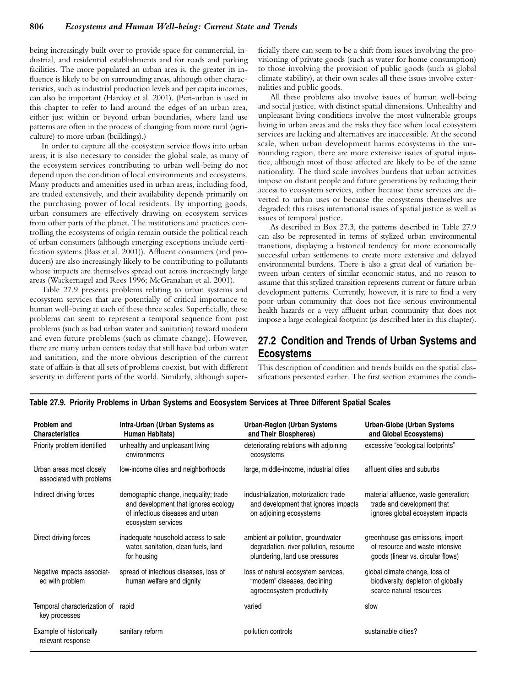being increasingly built over to provide space for commercial, industrial, and residential establishments and for roads and parking facilities. The more populated an urban area is, the greater its influence is likely to be on surrounding areas, although other characteristics, such as industrial production levels and per capita incomes, can also be important (Hardoy et al. 2001). (Peri-urban is used in this chapter to refer to land around the edges of an urban area, either just within or beyond urban boundaries, where land use patterns are often in the process of changing from more rural (agriculture) to more urban (buildings).)

In order to capture all the ecosystem service flows into urban areas, it is also necessary to consider the global scale, as many of the ecosystem services contributing to urban well-being do not depend upon the condition of local environments and ecosystems. Many products and amenities used in urban areas, including food, are traded extensively, and their availability depends primarily on the purchasing power of local residents. By importing goods, urban consumers are effectively drawing on ecosystem services from other parts of the planet. The institutions and practices controlling the ecosystems of origin remain outside the political reach of urban consumers (although emerging exceptions include certification systems (Bass et al. 2001)). Affluent consumers (and producers) are also increasingly likely to be contributing to pollutants whose impacts are themselves spread out across increasingly large areas (Wackernagel and Rees 1996; McGranahan et al. 2001).

Table 27.9 presents problems relating to urban systems and ecosystem services that are potentially of critical importance to human well-being at each of these three scales. Superficially, these problems can seem to represent a temporal sequence from past problems (such as bad urban water and sanitation) toward modern and even future problems (such as climate change). However, there are many urban centers today that still have bad urban water and sanitation, and the more obvious description of the current state of affairs is that all sets of problems coexist, but with different severity in different parts of the world. Similarly, although superficially there can seem to be a shift from issues involving the provisioning of private goods (such as water for home consumption) to those involving the provision of public goods (such as global climate stability), at their own scales all these issues involve externalities and public goods.

All these problems also involve issues of human well-being and social justice, with distinct spatial dimensions. Unhealthy and unpleasant living conditions involve the most vulnerable groups living in urban areas and the risks they face when local ecosystem services are lacking and alternatives are inaccessible. At the second scale, when urban development harms ecosystems in the surrounding region, there are more extensive issues of spatial injustice, although most of those affected are likely to be of the same nationality. The third scale involves burdens that urban activities impose on distant people and future generations by reducing their access to ecosystem services, either because these services are diverted to urban uses or because the ecosystems themselves are degraded: this raises international issues of spatial justice as well as issues of temporal justice.

As described in Box 27.3, the patterns described in Table 27.9 can also be represented in terms of stylized urban environmental transitions, displaying a historical tendency for more economically successful urban settlements to create more extensive and delayed environmental burdens. There is also a great deal of variation between urban centers of similar economic status, and no reason to assume that this stylized transition represents current or future urban development patterns. Currently, however, it is rare to find a very poor urban community that does not face serious environmental health hazards or a very affluent urban community that does not impose a large ecological footprint (as described later in this chapter).

# **27.2 Condition and Trends of Urban Systems and Ecosystems**

This description of condition and trends builds on the spatial classifications presented earlier. The first section examines the condi-

| Problem and<br><b>Characteristics</b>                | Intra-Urban (Urban Systems as<br>Human Habitats)                                                                                        | <b>Urban-Region (Urban Systems</b><br>and Their Biospheres)                                                    | <b>Urban-Globe (Urban Systems</b><br>and Global Ecosystems)                                              |
|------------------------------------------------------|-----------------------------------------------------------------------------------------------------------------------------------------|----------------------------------------------------------------------------------------------------------------|----------------------------------------------------------------------------------------------------------|
| Priority problem identified                          | unhealthy and unpleasant living<br>environments                                                                                         | deteriorating relations with adjoining<br>ecosystems                                                           | excessive "ecological footprints"                                                                        |
| Urban areas most closely<br>associated with problems | low-income cities and neighborhoods                                                                                                     | large, middle-income, industrial cities                                                                        | affluent cities and suburbs                                                                              |
| Indirect driving forces                              | demographic change, inequality; trade<br>and development that ignores ecology<br>of infectious diseases and urban<br>ecosystem services | industrialization, motorization; trade<br>and development that ignores impacts<br>on adjoining ecosystems      | material affluence, waste generation;<br>trade and development that<br>ignores global ecosystem impacts  |
| Direct driving forces                                | inadequate household access to safe<br>water, sanitation, clean fuels, land<br>for housing                                              | ambient air pollution, groundwater<br>degradation, river pollution, resource<br>plundering, land use pressures | greenhouse gas emissions, import<br>of resource and waste intensive<br>goods (linear vs. circular flows) |
| Negative impacts associat-<br>ed with problem        | spread of infectious diseases, loss of<br>human welfare and dignity                                                                     | loss of natural ecosystem services,<br>"modern" diseases, declining<br>agroecosystem productivity              | global climate change, loss of<br>biodiversity, depletion of globally<br>scarce natural resources        |
| Temporal characterization of rapid<br>key processes  |                                                                                                                                         | varied                                                                                                         | slow                                                                                                     |
| Example of historically<br>relevant response         | sanitary reform                                                                                                                         | pollution controls                                                                                             | sustainable cities?                                                                                      |

# **Table 27.9. Priority Problems in Urban Systems and Ecosystem Services at Three Different Spatial Scales**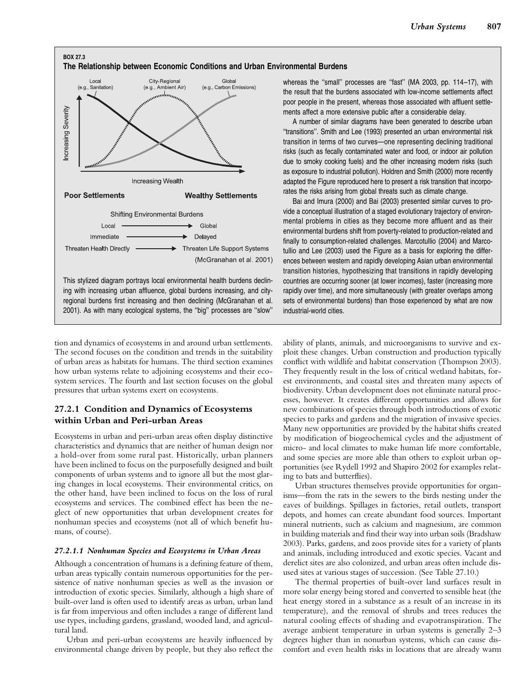

tion and dynamics of ecosystems in and around urban settlements. The second focuses on the condition and trends in the suitability of urban areas as habitats for humans. The third section examines how urban systems relate to adjoining ecosystems and their ecosystem services. The fourth and last section focuses on the global pressures that urban systems exert on ecosystems.

# **27.2.1 Condition and Dynamics of Ecosystems within Urban and Peri-urban Areas**

Ecosystems in urban and peri-urban areas often display distinctive characteristics and dynamics that are neither of human design nor a hold-over from some rural past. Historically, urban planners have been inclined to focus on the purposefully designed and built components of urban systems and to ignore all but the most glaring changes in local ecosystems. Their environmental critics, on the other hand, have been inclined to focus on the loss of rural ecosystems and services. The combined effect has been the neglect of new opportunities that urban development creates for nonhuman species and ecosystems (not all of which benefit humans, of course).

#### *27.2.1.1 Nonhuman Species and Ecosystems in Urban Areas*

Although a concentration of humans is a defining feature of them, urban areas typically contain numerous opportunities for the persistence of native nonhuman species as well as the invasion or introduction of exotic species. Similarly, although a high share of built-over land is often used to identify areas as urban, urban land is far from impervious and often includes a range of different land use types, including gardens, grassland, wooded land, and agricultural land.

Urban and peri-urban ecosystems are heavily influenced by environmental change driven by people, but they also reflect the whereas the ''small'' processes are ''fast'' (MA 2003, pp. 114–17), with the result that the burdens associated with low-income settlements affect poor people in the present, whereas those associated with affluent settlements affect a more extensive public after a considerable delay.

A number of similar diagrams have been generated to describe urban ''transitions''. Smith and Lee (1993) presented an urban environmental risk transition in terms of two curves—one representing declining traditional risks (such as fecally contaminated water and food, or indoor air pollution due to smoky cooking fuels) and the other increasing modern risks (such as exposure to industrial pollution). Holdren and Smith (2000) more recently adapted the Figure reproduced here to present a risk transition that incorporates the risks arising from global threats such as climate change.

Bai and Imura (2000) and Bai (2003) presented similar curves to provide a conceptual illustration of a staged evolutionary trajectory of environmental problems in cities as they become more affluent and as their environmental burdens shift from poverty-related to production-related and finally to consumption-related challenges. Marcotullio (2004) and Marcotullio and Lee (2003) used the Figure as a basis for exploring the differences between western and rapidly developing Asian urban environmental transition histories, hypothesizing that transitions in rapidly developing

ability of plants, animals, and microorganisms to survive and exploit these changes. Urban construction and production typically conflict with wildlife and habitat conservation (Thompson 2003). They frequently result in the loss of critical wetland habitats, forest environments, and coastal sites and threaten many aspects of biodiversity. Urban development does not eliminate natural processes, however. It creates different opportunities and allows for new combinations of species through both introductions of exotic species to parks and gardens and the migration of invasive species. Many new opportunities are provided by the habitat shifts created by modification of biogeochemical cycles and the adjustment of micro- and local climates to make human life more comfortable, and some species are more able than others to exploit urban opportunities (see Rydell 1992 and Shapiro 2002 for examples relating to bats and butterflies).

Urban structures themselves provide opportunities for organisms—from the rats in the sewers to the birds nesting under the eaves of buildings. Spillages in factories, retail outlets, transport depots, and homes can create abundant food sources. Important mineral nutrients, such as calcium and magnesium, are common in building materials and find their way into urban soils (Bradshaw 2003). Parks, gardens, and zoos provide sites for a variety of plants and animals, including introduced and exotic species. Vacant and derelict sites are also colonized, and urban areas often include disused sites at various stages of succession. (See Table 27.10.)

The thermal properties of built-over land surfaces result in more solar energy being stored and converted to sensible heat (the heat energy stored in a substance as a result of an increase in its temperature), and the removal of shrubs and trees reduces the natural cooling effects of shading and evapotranspiration. The average ambient temperature in urban systems is generally 2–3 degrees higher than in nonurban systems, which can cause discomfort and even health risks in locations that are already warm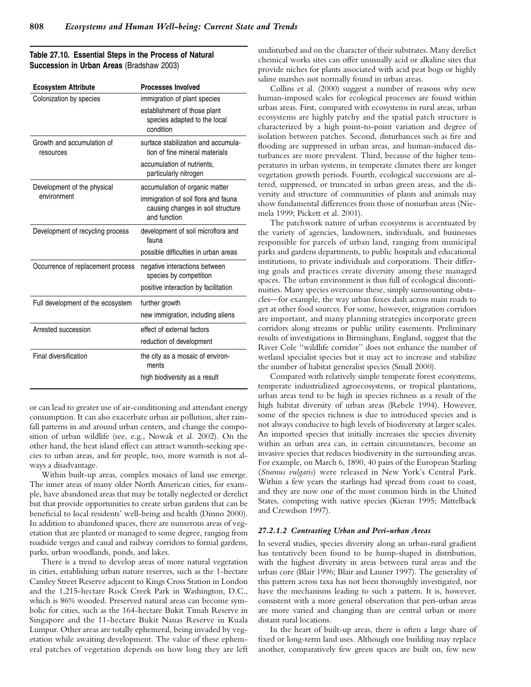| Table 27.10. Essential Steps in the Process of Natural |  |  |  |
|--------------------------------------------------------|--|--|--|
| Succession in Urban Areas (Bradshaw 2003)              |  |  |  |

| <b>Ecosystem Attribute</b>              | <b>Processes Involved</b>                                                                |  |  |
|-----------------------------------------|------------------------------------------------------------------------------------------|--|--|
| Colonization by species                 | immigration of plant species                                                             |  |  |
|                                         | establishment of those plant<br>species adapted to the local<br>condition                |  |  |
| Growth and accumulation of<br>resources | surface stabilization and accumula-<br>tion of fine mineral materials                    |  |  |
|                                         | accumulation of nutrients,<br>particularly nitrogen                                      |  |  |
| Development of the physical             | accumulation of organic matter                                                           |  |  |
| environment                             | immigration of soil flora and fauna<br>causing changes in soil structure<br>and function |  |  |
| Development of recycling process        | development of soil microflora and<br>fauna                                              |  |  |
|                                         | possible difficulties in urban areas                                                     |  |  |
| Occurrence of replacement process       | negative interactions between<br>species by competition                                  |  |  |
|                                         | positive interaction by facilitation                                                     |  |  |
| Full development of the ecosystem       | further growth                                                                           |  |  |
|                                         | new immigration, including aliens                                                        |  |  |
| Arrested succession                     | effect of external factors                                                               |  |  |
|                                         | reduction of development                                                                 |  |  |
| Final diversification                   | the city as a mosaic of environ-<br>ments                                                |  |  |
|                                         | high biodiversity as a result                                                            |  |  |

or can lead to greater use of air-conditioning and attendant energy consumption. It can also exacerbate urban air pollution, alter rainfall patterns in and around urban centers, and change the composition of urban wildlife (see, e.g., Nowak et al. 2002). On the other hand, the heat island effect can attract warmth-seeking species to urban areas, and for people, too, more warmth is not always a disadvantage.

Within built-up areas, complex mosaics of land use emerge. The inner areas of many older North American cities, for example, have abandoned areas that may be totally neglected or derelict but that provide opportunities to create urban gardens that can be beneficial to local residents' well-being and health (Dinno 2000). In addition to abandoned spaces, there are numerous areas of vegetation that are planted or managed to some degree, ranging from roadside verges and canal and railway corridors to formal gardens, parks, urban woodlands, ponds, and lakes.

There is a trend to develop areas of more natural vegetation in cities, establishing urban nature reserves, such as the 1-hectare Camley Street Reserve adjacent to Kings Cross Station in London and the 1,215-hectare Rock Creek Park in Washington, D.C., which is 86% wooded. Preserved natural areas can become symbolic for cities, such as the 164-hectare Bukit Timah Reserve in Singapore and the 11-hectare Bukit Nanas Reserve in Kuala Lumpur. Other areas are totally ephemeral, being invaded by vegetation while awaiting development. The value of these ephemeral patches of vegetation depends on how long they are left undisturbed and on the character of their substrates. Many derelict chemical works sites can offer unusually acid or alkaline sites that provide niches for plants associated with acid peat bogs or highly saline marshes not normally found in urban areas.

Collins et al. (2000) suggest a number of reasons why new human-imposed scales for ecological processes are found within urban areas. First, compared with ecosystems in rural areas, urban ecosystems are highly patchy and the spatial patch structure is characterized by a high point-to-point variation and degree of isolation between patches. Second, disturbances such as fire and flooding are suppressed in urban areas, and human-induced disturbances are more prevalent. Third, because of the higher temperatures in urban systems, in temperate climates there are longer vegetation growth periods. Fourth, ecological successions are altered, suppressed, or truncated in urban green areas, and the diversity and structure of communities of plants and animals may show fundamental differences from those of nonurban areas (Niemela 1999; Pickett et al. 2001).

The patchwork nature of urban ecosystems is accentuated by the variety of agencies, landowners, individuals, and businesses responsible for parcels of urban land, ranging from municipal parks and gardens departments, to public hospitals and educational institutions, to private individuals and corporations. Their differing goals and practices create diversity among these managed spaces. The urban environment is thus full of ecological discontinuities. Many species overcome these, simply surmounting obstacles—for example, the way urban foxes dash across main roads to get at other food sources. For some, however, migration corridors are important, and many planning strategies incorporate green corridors along streams or public utility easements. Preliminary results of investigations in Birmingham, England, suggest that the River Cole ''wildlife corridor'' does not enhance the number of wetland specialist species but it may act to increase and stabilize the number of habitat generalist species (Small 2000).

Compared with relatively simple temperate forest ecosystems, temperate industrialized agroecosystems, or tropical plantations, urban areas tend to be high in species richness as a result of the high habitat diversity of urban areas (Rebele 1994). However, some of the species richness is due to introduced species and is not always conducive to high levels of biodiversity at larger scales. An imported species that initially increases the species diversity within an urban area can, in certain circumstances, become an invasive species that reduces biodiversity in the surrounding areas. For example, on March 6, 1890, 40 pairs of the European Starling (*Sturnus vulgaris*) were released in New York's Central Park. Within a few years the starlings had spread from coast to coast, and they are now one of the most common birds in the United States, competing with native species (Kieran 1995; Mittelback and Crewdson 1997).

#### *27.2.1.2 Contrasting Urban and Peri-urban Areas*

In several studies, species diversity along an urban-rural gradient has tentatively been found to be hump-shaped in distribution, with the highest diversity in areas between rural areas and the urban core (Blair 1996; Blair and Launer 1997). The generality of this pattern across taxa has not been thoroughly investigated, nor have the mechanisms leading to such a pattern. It is, however, consistent with a more general observation that peri-urban areas are more varied and changing than are central urban or more distant rural locations.

In the heart of built-up areas, there is often a large share of fixed or long-term land uses. Although one building may replace another, comparatively few green spaces are built on, few new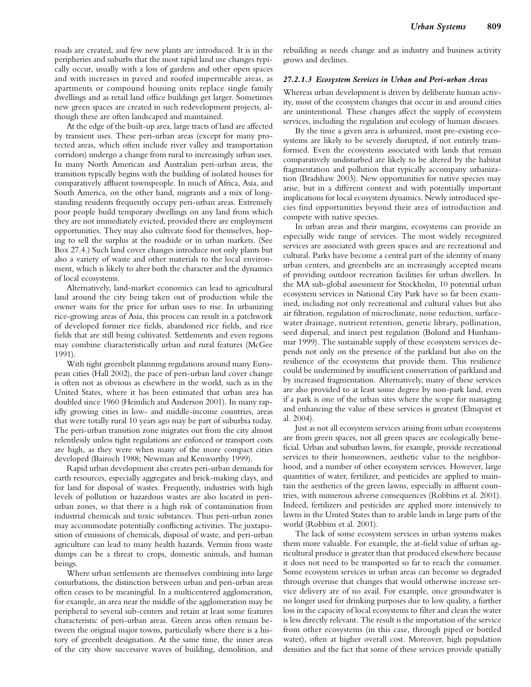roads are created, and few new plants are introduced. It is in the peripheries and suburbs that the most rapid land use changes typically occur, usually with a loss of gardens and other open spaces and with increases in paved and roofed impermeable areas, as apartments or compound housing units replace single family dwellings and as retail land office buildings get larger. Sometimes new green spaces are created in such redevelopment projects, although these are often landscaped and maintained.

At the edge of the built-up area, large tracts of land are affected by transient uses. These peri-urban areas (except for many protected areas, which often include river valley and transportation corridors) undergo a change from rural to increasingly urban uses. In many North American and Australian peri-urban areas, the transition typically begins with the building of isolated houses for comparatively affluent townspeople. In much of Africa, Asia, and South America, on the other hand, migrants and a mix of longstanding residents frequently occupy peri-urban areas. Extremely poor people build temporary dwellings on any land from which they are not immediately evicted, provided there are employment opportunities. They may also cultivate food for themselves, hoping to sell the surplus at the roadside or in urban markets. (See Box 27.4.) Such land cover changes introduce not only plants but also a variety of waste and other materials to the local environment, which is likely to alter both the character and the dynamics of local ecosystems.

Alternatively, land-market economics can lead to agricultural land around the city being taken out of production while the owner waits for the price for urban uses to rise. In urbanizing rice-growing areas of Asia, this process can result in a patchwork of developed former rice fields, abandoned rice fields, and rice fields that are still being cultivated. Settlements and even regions may combine characteristically urban and rural features (McGee 1991).

With tight greenbelt planning regulations around many European cities (Hall 2002), the pace of peri-urban land cover change is often not as obvious as elsewhere in the world, such as in the United States, where it has been estimated that urban area has doubled since 1960 (Heimlich and Anderson 2001). In many rapidly growing cities in low- and middle-income countries, areas that were totally rural 10 years ago may be part of suburbia today. The peri-urban transition zone migrates out from the city almost relentlessly unless tight regulations are enforced or transport costs are high, as they were when many of the more compact cities developed (Bairoch 1988; Newman and Kenworthy 1999).

Rapid urban development also creates peri-urban demands for earth resources, especially aggregates and brick-making clays, and for land for disposal of wastes. Frequently, industries with high levels of pollution or hazardous wastes are also located in periurban zones, so that there is a high risk of contamination from industrial chemicals and toxic substances. Thus peri-urban zones may accommodate potentially conflicting activities. The juxtaposition of emissions of chemicals, disposal of waste, and peri-urban agriculture can lead to many health hazards. Vermin from waste dumps can be a threat to crops, domestic animals, and human beings.

Where urban settlements are themselves combining into large conurbations, the distinction between urban and peri-urban areas often ceases to be meaningful. In a multicentered agglomeration, for example, an area near the middle of the agglomeration may be peripheral to several sub-centers and retain at least some features characteristic of peri-urban areas. Green areas often remain between the original major towns, particularly where there is a history of greenbelt designation. At the same time, the inner areas of the city show successive waves of building, demolition, and

rebuilding as needs change and as industry and business activity grows and declines.

#### *27.2.1.3 Ecosystem Services in Urban and Peri-urban Areas*

Whereas urban development is driven by deliberate human activity, most of the ecosystem changes that occur in and around cities are unintentional. These changes affect the supply of ecosystem services, including the regulation and ecology of human diseases.

By the time a given area is urbanized, most pre-existing ecosystems are likely to be severely disrupted, if not entirely transformed. Even the ecosystems associated with lands that remain comparatively undisturbed are likely to be altered by the habitat fragmentation and pollution that typically accompany urbanization (Bradshaw 2003). New opportunities for native species may arise, but in a different context and with potentially important implications for local ecosystem dynamics. Newly introduced species find opportunities beyond their area of introduction and compete with native species.

In urban areas and their margins, ecosystems can provide an especially wide range of services. The most widely recognized services are associated with green spaces and are recreational and cultural. Parks have become a central part of the identity of many urban centers, and greenbelts are an increasingly accepted means of providing outdoor recreation facilities for urban dwellers. In the MA sub-global assessment for Stockholm, 10 potential urban ecosystem services in National City Park have so far been examined, including not only recreational and cultural values but also air filtration, regulation of microclimate, noise reduction, surfacewater drainage, nutrient retention, genetic library, pollination, seed dispersal, and insect pest regulation (Bolund and Hunhammar 1999). The sustainable supply of these ecosystem services depends not only on the presence of the parkland but also on the resilience of the ecosystems that provide them. This resilience could be undermined by insufficient conservation of parkland and by increased fragmentation. Alternatively, many of these services are also provided to at least some degree by non-park land, even if a park is one of the urban sites where the scope for managing and enhancing the value of these services is greatest (Elmqvist et al. 2004).

Just as not all ecosystem services arising from urban ecosystems are from green spaces, not all green spaces are ecologically beneficial. Urban and suburban lawns, for example, provide recreational services to their homeowners, aesthetic value to the neighborhood, and a number of other ecosystem services. However, large quantities of water, fertilizer, and pesticides are applied to maintain the aesthetics of the green lawns, especially in affluent countries, with numerous adverse consequences (Robbins et al. 2001). Indeed, fertilizers and pesticides are applied more intensively to lawns in the United States than to arable lands in large parts of the world (Robbins et al. 2001).

The lack of some ecosystem services in urban systems makes them more valuable. For example, the at-field value of urban agricultural produce is greater than that produced elsewhere because it does not need to be transported so far to reach the consumer. Some ecosystem services in urban areas can become so degraded through overuse that changes that would otherwise increase service delivery are of no avail. For example, once groundwater is no longer used for drinking purposes due to low quality, a further loss in the capacity of local ecosystems to filter and clean the water is less directly relevant. The result is the importation of the service from other ecosystems (in this case, through piped or bottled water), often at higher overall cost. Moreover, high population densities and the fact that some of these services provide spatially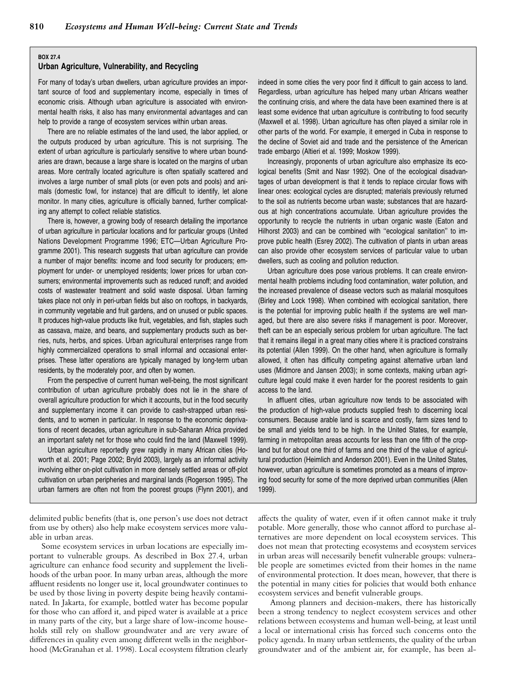## **BOX 27.4**

#### **Urban Agriculture, Vulnerability, and Recycling**

For many of today's urban dwellers, urban agriculture provides an impor- indeed in some cities the very poor find it difficult to gain access to land. tant source of food and supplementary income, especially in times of Regardless, urban agriculture has helped many urban Africans weather economic crisis. Although urban agriculture is associated with environ- the continuing crisis, and where the data have been examined there is at mental health risks, it also has many environmental advantages and can least some evidence that urban agriculture is contributing to food security

extent of urban agriculture is particularly sensitive to where urban bound-<br>trade embargo (Altieri et al. 1999; Moskow 1999). aries are drawn, because a large share is located on the margins of urban lncreasingly, proponents of urban agriculture also emphasize its ecoareas. More centrally located agriculture is often spatially scattered and logical benefits (Smit and Nasr 1992). One of the ecological disadvaninvolves a large number of small plots (or even pots and pools) and ani- tages of urban development is that it tends to replace circular flows with mals (domestic fowl, for instance) that are difficult to identify, let alone linear ones: ecological cycles are disrupted; materials previously returned monitor. In many cities, agriculture is officially banned, further complicat-<br>to the soil as nutrients become urban waste; substances that are hazard-

of urban agriculture in particular locations and for particular groups (United Hilhorst 2003) and can be combined with ''ecological sanitation'' to im-Nations Development Programme 1996; ETC—Urban Agriculture Pro- prove public health (Esrey 2002). The cultivation of plants in urban areas gramme 2001). This research suggests that urban agriculture can provide can also provide other ecosystem services of particular value to urban a number of major benefits: income and food security for producers; em- dwellers, such as cooling and pollution reduction. ployment for under- or unemployed residents; lower prices for urban con-<br>Urban agriculture does pose various problems. It can create environsumers; environmental improvements such as reduced runoff; and avoided mental health problems including food contamination, water pollution, and costs of wastewater treatment and solid waste disposal. Urban farming the increased prevalence of disease vectors such as malarial mosquitoes takes place not only in peri-urban fields but also on rooftops, in backyards, (Birley and Lock 1998). When combined with ecological sanitation, there in community vegetable and fruit gardens, and on unused or public spaces. is the potential for improving public health if the systems are well man-It produces high-value products like fruit, vegetables, and fish, staples such aged, but there are also severe risks if management is poor. Moreover, as cassava, maize, and beans, and supplementary products such as ber- theft can be an especially serious problem for urban agriculture. The fact ries, nuts, herbs, and spices. Urban agricultural enterprises range from that it remains illegal in a great many cities where it is practiced constrains highly commercialized operations to small informal and occasional enter-<br>its potential (Allen 1999). On the other hand, when a griculture is formally commercially commercialized operations to smally prises. These latter operations are typically managed by long-term urban allowed, it often has difficulty competing against alternative urban land residents, by the moderately poor, and often by women. uses (Midmore and Jansen 2003); in some contexts, making urban agri-

contribution of urban agriculture probably does not lie in the share of access to the land. overall agriculture production for which it accounts, but in the food security In affluent cities, urban agriculture now tends to be associated with and supplementary income it can provide to cash-strapped urban resi- the production of high-value products supplied fresh to discerning local dents, and to women in particular. In response to the economic depriva- consumers. Because arable land is scarce and costly, farm sizes tend to tions of recent decades, urban agriculture in sub-Saharan Africa provided be small and yields tend to be high. In the United States, for example,

worth et al. 2001; Page 2002; Bryld 2003), largely as an informal activity tural production (Heimlich and Anderson 2001). Even in the United States, involving either on-plot cultivation in more densely settled areas or off-plot however, urban agriculture is sometimes promoted as a means of improvcultivation on urban peripheries and marginal lands (Rogerson 1995). The ing food security for some of the more deprived urban communities (Allen urban farmers are often not from the poorest groups (Flynn 2001), and 1999).

delimited public benefits (that is, one person's use does not detract from use by others) also help make ecosystem services more valuable in urban areas.

Some ecosystem services in urban locations are especially important to vulnerable groups. As described in Box 27.4, urban agriculture can enhance food security and supplement the livelihoods of the urban poor. In many urban areas, although the more affluent residents no longer use it, local groundwater continues to be used by those living in poverty despite being heavily contaminated. In Jakarta, for example, bottled water has become popular for those who can afford it, and piped water is available at a price in many parts of the city, but a large share of low-income households still rely on shallow groundwater and are very aware of differences in quality even among different wells in the neighborhood (McGranahan et al. 1998). Local ecosystem filtration clearly

help to provide a range of ecosystem services within urban areas. (Maxwell et al. 1998). Urban agriculture has often played a similar role in There are no reliable estimates of the land used, the labor applied, or other parts of the world. For example, it emerged in Cuba in response to the outputs produced by urban agriculture. This is not surprising. The the decline of Soviet aid and trade and the persistence of the American

ing any attempt to collect reliable statistics. ous at high concentrations accumulate. Urban agriculture provides the There is, however, a growing body of research detailing the importance opportunity to recycle the nutrients in urban organic waste (Eaton and

From the perspective of current human well-being, the most significant culture legal could make it even harder for the poorest residents to gain

an important safety net for those who could find the land (Maxwell 1999). farming in metropolitan areas accounts for less than one fifth of the crop-Urban agriculture reportedly grew rapidly in many African cities (Ho- land but for about one third of farms and one third of the value of agricul-

> affects the quality of water, even if it often cannot make it truly potable. More generally, those who cannot afford to purchase alternatives are more dependent on local ecosystem services. This does not mean that protecting ecosystems and ecosystem services in urban areas will necessarily benefit vulnerable groups: vulnerable people are sometimes evicted from their homes in the name of environmental protection. It does mean, however, that there is the potential in many cities for policies that would both enhance ecosystem services and benefit vulnerable groups.

> Among planners and decision-makers, there has historically been a strong tendency to neglect ecosystem services and other relations between ecosystems and human well-being, at least until a local or international crisis has forced such concerns onto the policy agenda. In many urban settlements, the quality of the urban groundwater and of the ambient air, for example, has been al-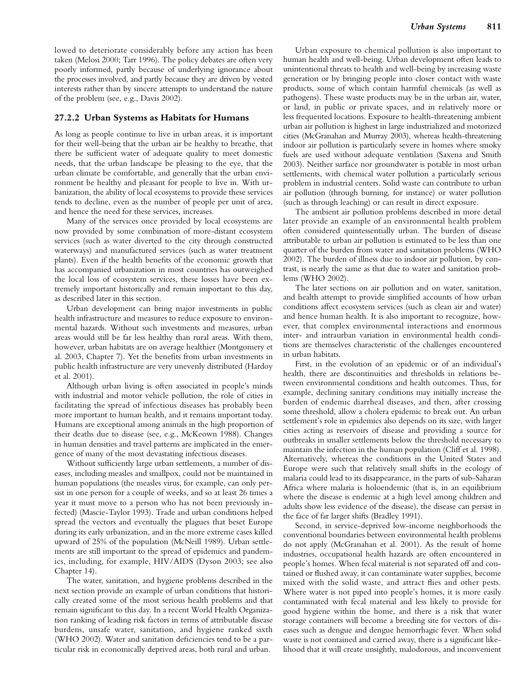#### **27.2.2 Urban Systems as Habitats for Humans**

As long as people continue to live in urban areas, it is important for their well-being that the urban air be healthy to breathe, that there be sufficient water of adequate quality to meet domestic needs, that the urban landscape be pleasing to the eye, that the urban climate be comfortable, and generally that the urban environment be healthy and pleasant for people to live in. With urbanization, the ability of local ecosystems to provide these services tends to decline, even as the number of people per unit of area, and hence the need for these services, increases.

Many of the services once provided by local ecosystems are now provided by some combination of more-distant ecosystem services (such as water diverted to the city through constructed waterways) and manufactured services (such as water treatment plants). Even if the health benefits of the economic growth that has accompanied urbanization in most countries has outweighed the local loss of ecosystem services, these losses have been extremely important historically and remain important to this day, as described later in this section.

Urban development can bring major investments in public health infrastructure and measures to reduce exposure to environmental hazards. Without such investments and measures, urban areas would still be far less healthy than rural areas. With them, however, urban habitats are on average healthier (Montgomery et al. 2003, Chapter 7). Yet the benefits from urban investments in public health infrastructure are very unevenly distributed (Hardoy et al. 2001).

Although urban living is often associated in people's minds with industrial and motor vehicle pollution, the role of cities in facilitating the spread of infectious diseases has probably been more important to human health, and it remains important today. Humans are exceptional among animals in the high proportion of their deaths due to disease (see, e.g., McKeown 1988). Changes in human densities and travel patterns are implicated in the emergence of many of the most devastating infectious diseases.

Without sufficiently large urban settlements, a number of diseases, including measles and smallpox, could not be maintained in human populations (the measles virus, for example, can only persist in one person for a couple of weeks, and so at least 26 times a year it must move to a person who has not been previously infected) (Mascie-Taylor 1993). Trade and urban conditions helped spread the vectors and eventually the plagues that beset Europe during its early urbanization, and in the more extreme cases killed upward of 25% of the population (McNeill 1989). Urban settlements are still important to the spread of epidemics and pandemics, including, for example, HIV/AIDS (Dyson 2003; see also Chapter 14).

The water, sanitation, and hygiene problems described in the next section provide an example of urban conditions that historically created some of the most serious health problems and that remain significant to this day. In a recent World Health Organization ranking of leading risk factors in terms of attributable disease burdens, unsafe water, sanitation, and hygiene ranked sixth (WHO 2002). Water and sanitation deficiencies tend to be a particular risk in economically deprived areas, both rural and urban.

Urban exposure to chemical pollution is also important to human health and well-being. Urban development often leads to unintentional threats to health and well-being by increasing waste generation or by bringing people into closer contact with waste products, some of which contain harmful chemicals (as well as pathogens). These waste products may be in the urban air, water, or land, in public or private spaces, and in relatively more or less frequented locations. Exposure to health-threatening ambient urban air pollution is highest in large industrialized and motorized cities (McGranahan and Murray 2003), whereas health-threatening indoor air pollution is particularly severe in homes where smoky fuels are used without adequate ventilation (Saxena and Smith 2003). Neither surface nor groundwater is potable in most urban settlements, with chemical water pollution a particularly serious problem in industrial centers. Solid waste can contribute to urban air pollution (through burning, for instance) or water pollution (such as through leaching) or can result in direct exposure.

The ambient air pollution problems described in more detail later provide an example of an environmental health problem often considered quintessentially urban. The burden of disease attributable to urban air pollution is estimated to be less than one quarter of the burden from water and sanitation problems (WHO 2002). The burden of illness due to indoor air pollution, by contrast, is nearly the same as that due to water and sanitation problems (WHO 2002).

The later sections on air pollution and on water, sanitation, and health attempt to provide simplified accounts of how urban conditions affect ecosystem services (such as clean air and water) and hence human health. It is also important to recognize, however, that complex environmental interactions and enormous inter- and intraurban variation in environmental health conditions are themselves characteristic of the challenges encountered in urban habitats.

First, in the evolution of an epidemic or of an individual's health, there are discontinuities and thresholds in relations between environmental conditions and health outcomes. Thus, for example, declining sanitary conditions may initially increase the burden of endemic diarrheal diseases, and then, after crossing some threshold, allow a cholera epidemic to break out. An urban settlement's role in epidemics also depends on its size, with larger cities acting as reservoirs of disease and providing a source for outbreaks in smaller settlements below the threshold necessary to maintain the infection in the human population (Cliff et al. 1998). Alternatively, whereas the conditions in the United States and Europe were such that relatively small shifts in the ecology of malaria could lead to its disappearance, in the parts of sub-Saharan Africa where malaria is holoendemic (that is, in an equilibrium where the disease is endemic at a high level among children and adults show less evidence of the disease), the disease can persist in the face of far larger shifts (Bradley 1991).

Second, in service-deprived low-income neighborhoods the conventional boundaries between environmental health problems do not apply (McGranahan et al. 2001). As the result of home industries, occupational health hazards are often encountered in people's homes. When fecal material is not separated off and contained or flushed away, it can contaminate water supplies, become mixed with the solid waste, and attract flies and other pests. Where water is not piped into people's homes, it is more easily contaminated with fecal material and less likely to provide for good hygiene within the home, and there is a risk that water storage containers will become a breeding site for vectors of diseases such as dengue and dengue hemorrhagic fever. When solid waste is not contained and carried away, there is a significant likelihood that it will create unsightly, malodorous, and inconvenient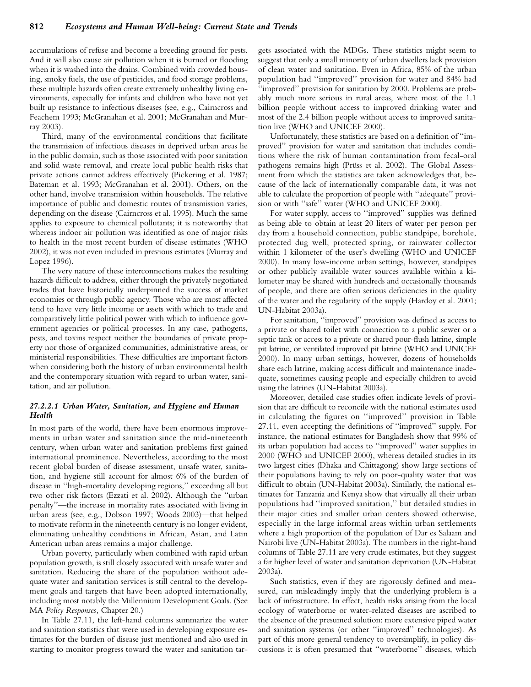accumulations of refuse and become a breeding ground for pests. And it will also cause air pollution when it is burned or flooding when it is washed into the drains. Combined with crowded housing, smoky fuels, the use of pesticides, and food storage problems, these multiple hazards often create extremely unhealthy living environments, especially for infants and children who have not yet built up resistance to infectious diseases (see, e.g., Cairncross and Feachem 1993; McGranahan et al. 2001; McGranahan and Murray 2003).

Third, many of the environmental conditions that facilitate the transmission of infectious diseases in deprived urban areas lie in the public domain, such as those associated with poor sanitation and solid waste removal, and create local public health risks that private actions cannot address effectively (Pickering et al. 1987; Bateman et al. 1993; McGranahan et al. 2001). Others, on the other hand, involve transmission within households. The relative importance of public and domestic routes of transmission varies, depending on the disease (Cairncross et al. 1995). Much the same applies to exposure to chemical pollutants; it is noteworthy that whereas indoor air pollution was identified as one of major risks to health in the most recent burden of disease estimates (WHO 2002), it was not even included in previous estimates (Murray and Lopez 1996).

The very nature of these interconnections makes the resulting hazards difficult to address, either through the privately negotiated trades that have historically underpinned the success of market economies or through public agency. Those who are most affected tend to have very little income or assets with which to trade and comparatively little political power with which to influence government agencies or political processes. In any case, pathogens, pests, and toxins respect neither the boundaries of private property nor those of organized communities, administrative areas, or ministerial responsibilities. These difficulties are important factors when considering both the history of urban environmental health and the contemporary situation with regard to urban water, sanitation, and air pollution.

## *27.2.2.1 Urban Water, Sanitation, and Hygiene and Human Health*

In most parts of the world, there have been enormous improvements in urban water and sanitation since the mid-nineteenth century, when urban water and sanitation problems first gained international prominence. Nevertheless, according to the most recent global burden of disease assessment, unsafe water, sanitation, and hygiene still account for almost 6% of the burden of disease in ''high-mortality developing regions,'' exceeding all but two other risk factors (Ezzati et al. 2002). Although the ''urban penalty''—the increase in mortality rates associated with living in urban areas (see, e.g., Dobson 1997; Woods 2003)—that helped to motivate reform in the nineteenth century is no longer evident, eliminating unhealthy conditions in African, Asian, and Latin American urban areas remains a major challenge.

Urban poverty, particularly when combined with rapid urban population growth, is still closely associated with unsafe water and sanitation. Reducing the share of the population without adequate water and sanitation services is still central to the development goals and targets that have been adopted internationally, including most notably the Millennium Development Goals. (See MA *Policy Responses,* Chapter 20.)

In Table 27.11, the left-hand columns summarize the water and sanitation statistics that were used in developing exposure estimates for the burden of disease just mentioned and also used in starting to monitor progress toward the water and sanitation targets associated with the MDGs. These statistics might seem to suggest that only a small minority of urban dwellers lack provision of clean water and sanitation. Even in Africa, 85% of the urban population had ''improved'' provision for water and 84% had ''improved'' provision for sanitation by 2000. Problems are probably much more serious in rural areas, where most of the 1.1 billion people without access to improved drinking water and most of the 2.4 billion people without access to improved sanitation live (WHO and UNICEF 2000).

Unfortunately, these statistics are based on a definition of ''improved'' provision for water and sanitation that includes conditions where the risk of human contamination from fecal-oral pathogens remains high (Prüss et al. 2002). The Global Assessment from which the statistics are taken acknowledges that, because of the lack of internationally comparable data, it was not able to calculate the proportion of people with ''adequate'' provision or with ''safe'' water (WHO and UNICEF 2000).

For water supply, access to ''improved'' supplies was defined as being able to obtain at least 20 liters of water per person per day from a household connection, public standpipe, borehole, protected dug well, protected spring, or rainwater collector within 1 kilometer of the user's dwelling (WHO and UNICEF 2000). In many low-income urban settings, however, standpipes or other publicly available water sources available within a kilometer may be shared with hundreds and occasionally thousands of people, and there are often serious deficiencies in the quality of the water and the regularity of the supply (Hardoy et al. 2001; UN-Habitat 2003a).

For sanitation, ''improved'' provision was defined as access to a private or shared toilet with connection to a public sewer or a septic tank or access to a private or shared pour-flush latrine, simple pit latrine, or ventilated improved pit latrine (WHO and UNICEF 2000). In many urban settings, however, dozens of households share each latrine, making access difficult and maintenance inadequate, sometimes causing people and especially children to avoid using the latrines (UN-Habitat 2003a).

Moreover, detailed case studies often indicate levels of provision that are difficult to reconcile with the national estimates used in calculating the figures on ''improved'' provision in Table 27.11, even accepting the definitions of ''improved'' supply. For instance, the national estimates for Bangladesh show that 99% of its urban population had access to ''improved'' water supplies in 2000 (WHO and UNICEF 2000), whereas detailed studies in its two largest cities (Dhaka and Chittagong) show large sections of their populations having to rely on poor-quality water that was difficult to obtain (UN-Habitat 2003a). Similarly, the national estimates for Tanzania and Kenya show that virtually all their urban populations had ''improved sanitation,'' but detailed studies in their major cities and smaller urban centers showed otherwise, especially in the large informal areas within urban settlements where a high proportion of the population of Dar es Salaam and Nairobi live (UN-Habitat 2003a). The numbers in the right-hand columns of Table 27.11 are very crude estimates, but they suggest a far higher level of water and sanitation deprivation (UN-Habitat 2003a).

Such statistics, even if they are rigorously defined and measured, can misleadingly imply that the underlying problem is a lack of infrastructure. In effect, health risks arising from the local ecology of waterborne or water-related diseases are ascribed to the absence of the presumed solution: more extensive piped water and sanitation systems (or other ''improved'' technologies). As part of this more general tendency to oversimplify, in policy discussions it is often presumed that ''waterborne'' diseases, which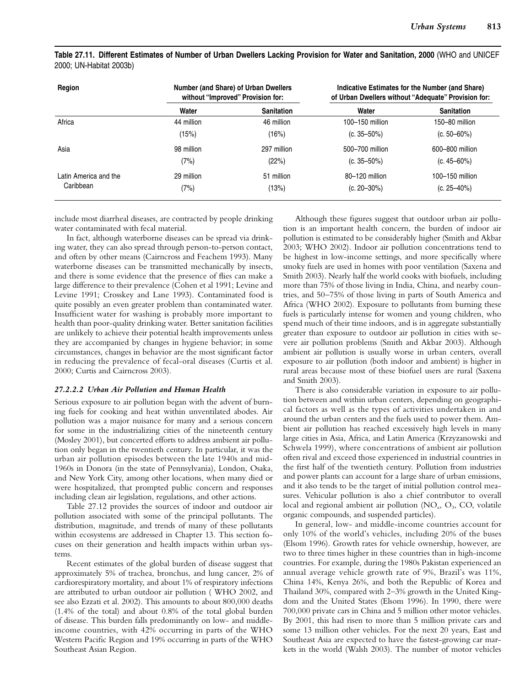| Region                             | Number (and Share) of Urban Dwellers<br>without "Improved" Provision for: |                   | Indicative Estimates for the Number (and Share)<br>of Urban Dwellers without "Adequate" Provision for: |                   |  |
|------------------------------------|---------------------------------------------------------------------------|-------------------|--------------------------------------------------------------------------------------------------------|-------------------|--|
|                                    | Water                                                                     | <b>Sanitation</b> | Water                                                                                                  | <b>Sanitation</b> |  |
| Africa                             | 44 million                                                                | 46 million        | 100-150 million                                                                                        | 150–80 million    |  |
|                                    | (15%)                                                                     | (16%)             | $(c. 35 - 50\%)$                                                                                       | $(c. 50 - 60\%)$  |  |
| Asia                               | 98 million                                                                | 297 million       | 500-700 million                                                                                        | 600-800 million   |  |
|                                    | (7%)                                                                      | (22%)             | $(c. 35 - 50\%)$                                                                                       | $(c. 45 - 60\%)$  |  |
| Latin America and the<br>Caribbean | 29 million                                                                | 51 million        | 80-120 million                                                                                         | 100-150 million   |  |
|                                    | (7%)                                                                      | (13%)             | $(c. 20 - 30\%)$                                                                                       | $(c. 25 - 40\%)$  |  |

**Table 27.11. Different Estimates of Number of Urban Dwellers Lacking Provision for Water and Sanitation, 2000** (WHO and UNICEF 2000; UN-Habitat 2003b)

include most diarrheal diseases, are contracted by people drinking water contaminated with fecal material.

In fact, although waterborne diseases can be spread via drinking water, they can also spread through person-to-person contact, and often by other means (Cairncross and Feachem 1993). Many waterborne diseases can be transmitted mechanically by insects, and there is some evidence that the presence of flies can make a large difference to their prevalence (Cohen et al 1991; Levine and Levine 1991; Crosskey and Lane 1993). Contaminated food is quite possibly an even greater problem than contaminated water. Insufficient water for washing is probably more important to health than poor-quality drinking water. Better sanitation facilities are unlikely to achieve their potential health improvements unless they are accompanied by changes in hygiene behavior; in some circumstances, changes in behavior are the most significant factor in reducing the prevalence of fecal-oral diseases (Curtis et al. 2000; Curtis and Cairncross 2003).

## *27.2.2.2 Urban Air Pollution and Human Health*

Serious exposure to air pollution began with the advent of burning fuels for cooking and heat within unventilated abodes. Air pollution was a major nuisance for many and a serious concern for some in the industrializing cities of the nineteenth century (Mosley 2001), but concerted efforts to address ambient air pollution only began in the twentieth century. In particular, it was the urban air pollution episodes between the late 1940s and mid-1960s in Donora (in the state of Pennsylvania), London, Osaka, and New York City, among other locations, when many died or were hospitalized, that prompted public concern and responses including clean air legislation, regulations, and other actions.

Table 27.12 provides the sources of indoor and outdoor air pollution associated with some of the principal pollutants. The distribution, magnitude, and trends of many of these pollutants within ecosystems are addressed in Chapter 13. This section focuses on their generation and health impacts within urban systems.

Recent estimates of the global burden of disease suggest that approximately 5% of trachea, bronchus, and lung cancer, 2% of cardiorespiratory mortality, and about 1% of respiratory infections are attributed to urban outdoor air pollution ( WHO 2002, and see also Ezzati et al. 2002). This amounts to about 800,000 deaths (1.4% of the total) and about 0.8% of the total global burden of disease. This burden falls predominantly on low- and middleincome countries, with 42% occurring in parts of the WHO Western Pacific Region and 19% occurring in parts of the WHO Southeast Asian Region.

Although these figures suggest that outdoor urban air pollution is an important health concern, the burden of indoor air pollution is estimated to be considerably higher (Smith and Akbar 2003; WHO 2002). Indoor air pollution concentrations tend to be highest in low-income settings, and more specifically where smoky fuels are used in homes with poor ventilation (Saxena and Smith 2003). Nearly half the world cooks with biofuels, including more than 75% of those living in India, China, and nearby countries, and 50–75% of those living in parts of South America and Africa (WHO 2002). Exposure to pollutants from burning these fuels is particularly intense for women and young children, who spend much of their time indoors, and is in aggregate substantially greater than exposure to outdoor air pollution in cities with severe air pollution problems (Smith and Akbar 2003). Although ambient air pollution is usually worse in urban centers, overall exposure to air pollution (both indoor and ambient) is higher in rural areas because most of these biofuel users are rural (Saxena and Smith 2003).

There is also considerable variation in exposure to air pollution between and within urban centers, depending on geographical factors as well as the types of activities undertaken in and around the urban centers and the fuels used to power them. Ambient air pollution has reached excessively high levels in many large cities in Asia, Africa, and Latin America (Krzyzanowski and Schwela 1999), where concentrations of ambient air pollution often rival and exceed those experienced in industrial countries in the first half of the twentieth century. Pollution from industries and power plants can account for a large share of urban emissions, and it also tends to be the target of initial pollution control measures. Vehicular pollution is also a chief contributor to overall local and regional ambient air pollution  $(NO<sub>x</sub>, O<sub>3</sub>, CO, volatile)$ organic compounds, and suspended particles).

In general, low- and middle-income countries account for only 10% of the world's vehicles, including 20% of the buses (Elsom 1996). Growth rates for vehicle ownership, however, are two to three times higher in these countries than in high-income countries. For example, during the 1980s Pakistan experienced an annual average vehicle growth rate of 9%, Brazil's was 11%, China 14%, Kenya 26%, and both the Republic of Korea and Thailand 30%, compared with 2–3% growth in the United Kingdom and the United States (Elsom 1996). In 1990, there were 700,000 private cars in China and 5 million other motor vehicles. By 2001, this had risen to more than 5 million private cars and some 13 million other vehicles. For the next 20 years, East and Southeast Asia are expected to have the fastest-growing car markets in the world (Walsh 2003). The number of motor vehicles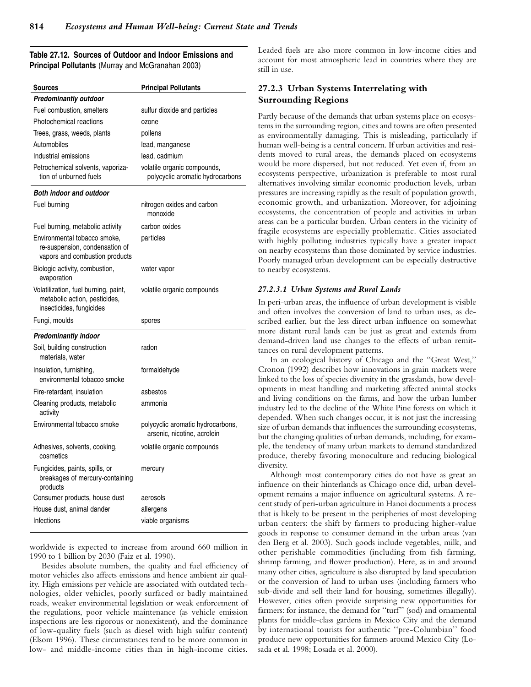## **Table 27.12. Sources of Outdoor and Indoor Emissions and Principal Pollutants** (Murray and McGranahan 2003)

| <b>Sources</b>                                                                                    | <b>Principal Pollutants</b>                                      |  |  |
|---------------------------------------------------------------------------------------------------|------------------------------------------------------------------|--|--|
| <b>Predominantly outdoor</b>                                                                      |                                                                  |  |  |
| Fuel combustion, smelters                                                                         | sulfur dioxide and particles                                     |  |  |
| <b>Photochemical reactions</b>                                                                    | ozone                                                            |  |  |
| Trees, grass, weeds, plants                                                                       | pollens                                                          |  |  |
| Automobiles                                                                                       | lead, manganese                                                  |  |  |
| Industrial emissions                                                                              | lead, cadmium                                                    |  |  |
| Petrochemical solvents, vaporiza-<br>tion of unburned fuels                                       | volatile organic compounds,<br>polycyclic aromatic hydrocarbons  |  |  |
| <b>Both indoor and outdoor</b>                                                                    |                                                                  |  |  |
| Fuel burning                                                                                      | nitrogen oxides and carbon<br>monoxide                           |  |  |
| Fuel burning, metabolic activity                                                                  | carbon oxides                                                    |  |  |
| Environmental tobacco smoke.<br>re-suspension, condensation of<br>vapors and combustion products  | particles                                                        |  |  |
| Biologic activity, combustion,<br>evaporation                                                     | water vapor                                                      |  |  |
| Volatilization, fuel burning, paint,<br>metabolic action, pesticides,<br>insecticides, fungicides | volatile organic compounds                                       |  |  |
| Fungi, moulds                                                                                     | spores                                                           |  |  |
| <b>Predominantly indoor</b>                                                                       |                                                                  |  |  |
| Soil, building construction<br>materials, water                                                   | radon                                                            |  |  |
| Insulation, furnishing,<br>environmental tobacco smoke                                            | formaldehyde                                                     |  |  |
| Fire-retardant, insulation                                                                        | asbestos                                                         |  |  |
| Cleaning products, metabolic<br>activity                                                          | ammonia                                                          |  |  |
| Environmental tobacco smoke                                                                       | polycyclic aromatic hydrocarbons,<br>arsenic, nicotine, acrolein |  |  |
| Adhesives, solvents, cooking,<br>cosmetics                                                        | volatile organic compounds                                       |  |  |
| Fungicides, paints, spills, or<br>breakages of mercury-containing<br>products                     | mercury                                                          |  |  |
| Consumer products, house dust                                                                     | aerosols                                                         |  |  |
| House dust, animal dander                                                                         | allergens                                                        |  |  |
| Infections                                                                                        | viable organisms                                                 |  |  |

worldwide is expected to increase from around 660 million in 1990 to 1 billion by 2030 (Faiz et al. 1990).

Besides absolute numbers, the quality and fuel efficiency of motor vehicles also affects emissions and hence ambient air quality. High emissions per vehicle are associated with outdated technologies, older vehicles, poorly surfaced or badly maintained roads, weaker environmental legislation or weak enforcement of the regulations, poor vehicle maintenance (as vehicle emission inspections are less rigorous or nonexistent), and the dominance of low-quality fuels (such as diesel with high sulfur content) (Elsom 1996). These circumstances tend to be more common in low- and middle-income cities than in high-income cities.

Leaded fuels are also more common in low-income cities and account for most atmospheric lead in countries where they are still in use.

## **27.2.3 Urban Systems Interrelating with Surrounding Regions**

Partly because of the demands that urban systems place on ecosystems in the surrounding region, cities and towns are often presented as environmentally damaging. This is misleading, particularly if human well-being is a central concern. If urban activities and residents moved to rural areas, the demands placed on ecosystems would be more dispersed, but not reduced. Yet even if, from an ecosystems perspective, urbanization is preferable to most rural alternatives involving similar economic production levels, urban pressures are increasing rapidly as the result of population growth, economic growth, and urbanization. Moreover, for adjoining ecosystems, the concentration of people and activities in urban areas can be a particular burden. Urban centers in the vicinity of fragile ecosystems are especially problematic. Cities associated with highly polluting industries typically have a greater impact on nearby ecosystems than those dominated by service industries. Poorly managed urban development can be especially destructive to nearby ecosystems.

#### *27.2.3.1 Urban Systems and Rural Lands*

In peri-urban areas, the influence of urban development is visible and often involves the conversion of land to urban uses, as described earlier, but the less direct urban influence on somewhat more distant rural lands can be just as great and extends from demand-driven land use changes to the effects of urban remittances on rural development patterns.

In an ecological history of Chicago and the ''Great West,'' Cronon (1992) describes how innovations in grain markets were linked to the loss of species diversity in the grasslands, how developments in meat handling and marketing affected animal stocks and living conditions on the farms, and how the urban lumber industry led to the decline of the White Pine forests on which it depended. When such changes occur, it is not just the increasing size of urban demands that influences the surrounding ecosystems, but the changing qualities of urban demands, including, for example, the tendency of many urban markets to demand standardized produce, thereby favoring monoculture and reducing biological diversity.

Although most contemporary cities do not have as great an influence on their hinterlands as Chicago once did, urban development remains a major influence on agricultural systems. A recent study of peri-urban agriculture in Hanoi documents a process that is likely to be present in the peripheries of most developing urban centers: the shift by farmers to producing higher-value goods in response to consumer demand in the urban areas (van den Berg et al. 2003). Such goods include vegetables, milk, and other perishable commodities (including from fish farming, shrimp farming, and flower production). Here, as in and around many other cities, agriculture is also disrupted by land speculation or the conversion of land to urban uses (including farmers who sub-divide and sell their land for housing, sometimes illegally). However, cities often provide surprising new opportunities for farmers: for instance, the demand for "turf" (sod) and ornamental plants for middle-class gardens in Mexico City and the demand by international tourists for authentic ''pre-Columbian'' food produce new opportunities for farmers around Mexico City (Losada et al. 1998; Losada et al. 2000).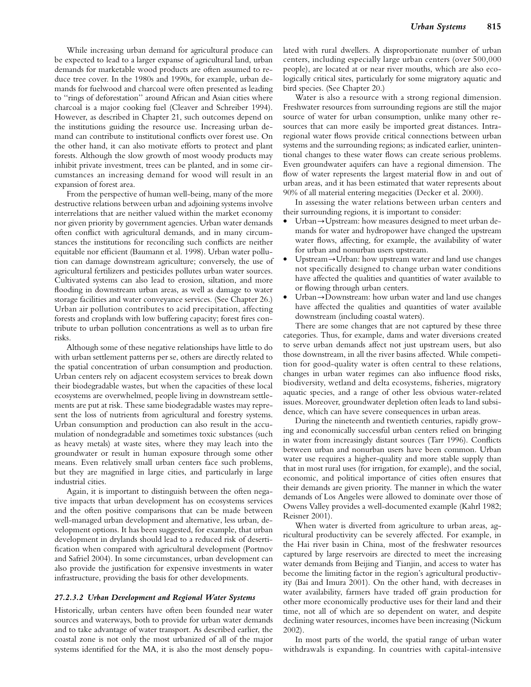While increasing urban demand for agricultural produce can be expected to lead to a larger expanse of agricultural land, urban demands for marketable wood products are often assumed to reduce tree cover. In the 1980s and 1990s, for example, urban demands for fuelwood and charcoal were often presented as leading to ''rings of deforestation'' around African and Asian cities where charcoal is a major cooking fuel (Cleaver and Schreiber 1994). However, as described in Chapter 21, such outcomes depend on the institutions guiding the resource use. Increasing urban demand can contribute to institutional conflicts over forest use. On the other hand, it can also motivate efforts to protect and plant forests. Although the slow growth of most woody products may inhibit private investment, trees can be planted, and in some circumstances an increasing demand for wood will result in an expansion of forest area.

From the perspective of human well-being, many of the more destructive relations between urban and adjoining systems involve interrelations that are neither valued within the market economy nor given priority by government agencies. Urban water demands often conflict with agricultural demands, and in many circumstances the institutions for reconciling such conflicts are neither equitable nor efficient (Baumann et al. 1998). Urban water pollution can damage downstream agriculture; conversely, the use of agricultural fertilizers and pesticides pollutes urban water sources. Cultivated systems can also lead to erosion, siltation, and more flooding in downstream urban areas, as well as damage to water storage facilities and water conveyance services. (See Chapter 26.) Urban air pollution contributes to acid precipitation, affecting forests and croplands with low buffering capacity; forest fires contribute to urban pollution concentrations as well as to urban fire risks.

Although some of these negative relationships have little to do with urban settlement patterns per se, others are directly related to the spatial concentration of urban consumption and production. Urban centers rely on adjacent ecosystem services to break down their biodegradable wastes, but when the capacities of these local ecosystems are overwhelmed, people living in downstream settlements are put at risk. These same biodegradable wastes may represent the loss of nutrients from agricultural and forestry systems. Urban consumption and production can also result in the accumulation of nondegradable and sometimes toxic substances (such as heavy metals) at waste sites, where they may leach into the groundwater or result in human exposure through some other means. Even relatively small urban centers face such problems, but they are magnified in large cities, and particularly in large industrial cities.

Again, it is important to distinguish between the often negative impacts that urban development has on ecosystems services and the often positive comparisons that can be made between well-managed urban development and alternative, less urban, development options. It has been suggested, for example, that urban development in drylands should lead to a reduced risk of desertification when compared with agricultural development (Portnov and Safriel 2004). In some circumstances, urban development can also provide the justification for expensive investments in water infrastructure, providing the basis for other developments.

#### *27.2.3.2 Urban Development and Regional Water Systems*

Historically, urban centers have often been founded near water sources and waterways, both to provide for urban water demands and to take advantage of water transport. As described earlier, the coastal zone is not only the most urbanized of all of the major systems identified for the MA, it is also the most densely populated with rural dwellers. A disproportionate number of urban centers, including especially large urban centers (over 500,000 people), are located at or near river mouths, which are also ecologically critical sites, particularly for some migratory aquatic and bird species. (See Chapter 20.)

Water is also a resource with a strong regional dimension. Freshwater resources from surrounding regions are still the major source of water for urban consumption, unlike many other resources that can more easily be imported great distances. Intraregional water flows provide critical connections between urban systems and the surrounding regions; as indicated earlier, unintentional changes to these water flows can create serious problems. Even groundwater aquifers can have a regional dimension. The flow of water represents the largest material flow in and out of urban areas, and it has been estimated that water represents about 90% of all material entering megacities (Decker et al. 2000).

In assessing the water relations between urban centers and their surrounding regions, it is important to consider:

- Urban->Upstream: how measures designed to meet urban demands for water and hydropower have changed the upstream water flows, affecting, for example, the availability of water for urban and nonurban users upstream.
- Upstream $\rightarrow$ Urban: how upstream water and land use changes not specifically designed to change urban water conditions have affected the qualities and quantities of water available to or flowing through urban centers.
- $Urban \rightarrow Downstream$ : how urban water and land use changes have affected the qualities and quantities of water available downstream (including coastal waters).

There are some changes that are not captured by these three categories. Thus, for example, dams and water diversions created to serve urban demands affect not just upstream users, but also those downstream, in all the river basins affected. While competition for good-quality water is often central to these relations, changes in urban water regimes can also influence flood risks, biodiversity, wetland and delta ecosystems, fisheries, migratory aquatic species, and a range of other less obvious water-related issues. Moreover, groundwater depletion often leads to land subsidence, which can have severe consequences in urban areas.

During the nineteenth and twentieth centuries, rapidly growing and economically successful urban centers relied on bringing in water from increasingly distant sources (Tarr 1996). Conflicts between urban and nonurban users have been common. Urban water use requires a higher-quality and more stable supply than that in most rural uses (for irrigation, for example), and the social, economic, and political importance of cities often ensures that their demands are given priority. The manner in which the water demands of Los Angeles were allowed to dominate over those of Owens Valley provides a well-documented example (Kahrl 1982; Reisner 2001).

When water is diverted from agriculture to urban areas, agricultural productivity can be severely affected. For example, in the Hai river basin in China, most of the freshwater resources captured by large reservoirs are directed to meet the increasing water demands from Beijing and Tianjin, and access to water has become the limiting factor in the region's agricultural productivity (Bai and Imura 2001). On the other hand, with decreases in water availability, farmers have traded off grain production for other more economically productive uses for their land and their time, not all of which are so dependent on water, and despite declining water resources, incomes have been increasing (Nickum 2002).

In most parts of the world, the spatial range of urban water withdrawals is expanding. In countries with capital-intensive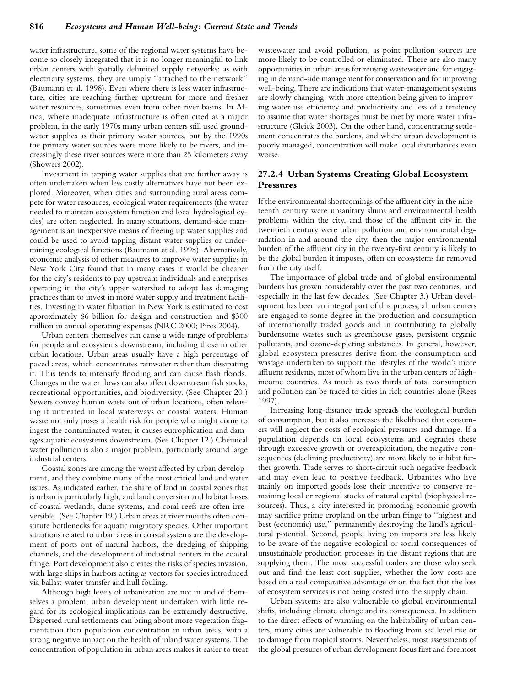water infrastructure, some of the regional water systems have become so closely integrated that it is no longer meaningful to link urban centers with spatially delimited supply networks: as with electricity systems, they are simply ''attached to the network'' (Baumann et al. 1998). Even where there is less water infrastructure, cities are reaching further upstream for more and fresher water resources, sometimes even from other river basins. In Africa, where inadequate infrastructure is often cited as a major problem, in the early 1970s many urban centers still used groundwater supplies as their primary water sources, but by the 1990s the primary water sources were more likely to be rivers, and increasingly these river sources were more than 25 kilometers away (Showers 2002).

Investment in tapping water supplies that are further away is often undertaken when less costly alternatives have not been explored. Moreover, when cities and surrounding rural areas compete for water resources, ecological water requirements (the water needed to maintain ecosystem function and local hydrological cycles) are often neglected. In many situations, demand-side management is an inexpensive means of freeing up water supplies and could be used to avoid tapping distant water supplies or undermining ecological functions (Baumann et al. 1998). Alternatively, economic analysis of other measures to improve water supplies in New York City found that in many cases it would be cheaper for the city's residents to pay upstream individuals and enterprises operating in the city's upper watershed to adopt less damaging practices than to invest in more water supply and treatment facilities. Investing in water filtration in New York is estimated to cost approximately \$6 billion for design and construction and \$300 million in annual operating expenses (NRC 2000; Pires 2004).

Urban centers themselves can cause a wide range of problems for people and ecosystems downstream, including those in other urban locations. Urban areas usually have a high percentage of paved areas, which concentrates rainwater rather than dissipating it. This tends to intensify flooding and can cause flash floods. Changes in the water flows can also affect downstream fish stocks, recreational opportunities, and biodiversity. (See Chapter 20.) Sewers convey human waste out of urban locations, often releasing it untreated in local waterways or coastal waters. Human waste not only poses a health risk for people who might come to ingest the contaminated water, it causes eutrophication and damages aquatic ecosystems downstream. (See Chapter 12.) Chemical water pollution is also a major problem, particularly around large industrial centers.

Coastal zones are among the worst affected by urban development, and they combine many of the most critical land and water issues. As indicated earlier, the share of land in coastal zones that is urban is particularly high, and land conversion and habitat losses of coastal wetlands, dune systems, and coral reefs are often irreversible. (See Chapter 19.) Urban areas at river mouths often constitute bottlenecks for aquatic migratory species. Other important situations related to urban areas in coastal systems are the development of ports out of natural harbors, the dredging of shipping channels, and the development of industrial centers in the coastal fringe. Port development also creates the risks of species invasion, with large ships in harbors acting as vectors for species introduced via ballast-water transfer and hull fouling.

Although high levels of urbanization are not in and of themselves a problem, urban development undertaken with little regard for its ecological implications can be extremely destructive. Dispersed rural settlements can bring about more vegetation fragmentation than population concentration in urban areas, with a strong negative impact on the health of inland water systems. The concentration of population in urban areas makes it easier to treat wastewater and avoid pollution, as point pollution sources are more likely to be controlled or eliminated. There are also many opportunities in urban areas for reusing wastewater and for engaging in demand-side management for conservation and for improving well-being. There are indications that water-management systems are slowly changing, with more attention being given to improving water use efficiency and productivity and less of a tendency to assume that water shortages must be met by more water infrastructure (Gleick 2003). On the other hand, concentrating settlement concentrates the burdens, and where urban development is poorly managed, concentration will make local disturbances even worse.

## **27.2.4 Urban Systems Creating Global Ecosystem Pressures**

If the environmental shortcomings of the affluent city in the nineteenth century were unsanitary slums and environmental health problems within the city, and those of the affluent city in the twentieth century were urban pollution and environmental degradation in and around the city, then the major environmental burden of the affluent city in the twenty-first century is likely to be the global burden it imposes, often on ecosystems far removed from the city itself.

The importance of global trade and of global environmental burdens has grown considerably over the past two centuries, and especially in the last few decades. (See Chapter 3.) Urban development has been an integral part of this process; all urban centers are engaged to some degree in the production and consumption of internationally traded goods and in contributing to globally burdensome wastes such as greenhouse gases, persistent organic pollutants, and ozone-depleting substances. In general, however, global ecosystem pressures derive from the consumption and wastage undertaken to support the lifestyles of the world's more affluent residents, most of whom live in the urban centers of highincome countries. As much as two thirds of total consumption and pollution can be traced to cities in rich countries alone (Rees 1997).

Increasing long-distance trade spreads the ecological burden of consumption, but it also increases the likelihood that consumers will neglect the costs of ecological pressures and damage. If a population depends on local ecosystems and degrades these through excessive growth or overexploitation, the negative consequences (declining productivity) are more likely to inhibit further growth. Trade serves to short-circuit such negative feedback and may even lead to positive feedback. Urbanites who live mainly on imported goods lose their incentive to conserve remaining local or regional stocks of natural capital (biophysical resources). Thus, a city interested in promoting economic growth may sacrifice prime cropland on the urban fringe to ''highest and best (economic) use,'' permanently destroying the land's agricultural potential. Second, people living on imports are less likely to be aware of the negative ecological or social consequences of unsustainable production processes in the distant regions that are supplying them. The most successful traders are those who seek out and find the least-cost supplies, whether the low costs are based on a real comparative advantage or on the fact that the loss of ecosystem services is not being costed into the supply chain.

Urban systems are also vulnerable to global environmental shifts, including climate change and its consequences. In addition to the direct effects of warming on the habitability of urban centers, many cities are vulnerable to flooding from sea level rise or to damage from tropical storms. Nevertheless, most assessments of the global pressures of urban development focus first and foremost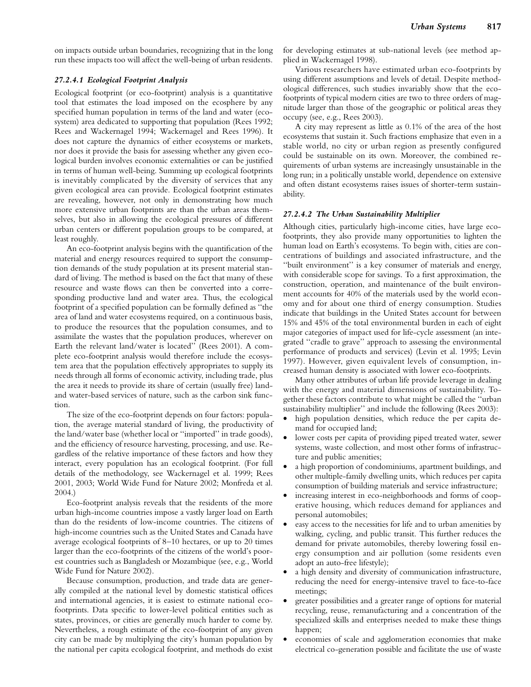on impacts outside urban boundaries, recognizing that in the long run these impacts too will affect the well-being of urban residents.

#### *27.2.4.1 Ecological Footprint Analysis*

Ecological footprint (or eco-footprint) analysis is a quantitative tool that estimates the load imposed on the ecosphere by any specified human population in terms of the land and water (ecosystem) area dedicated to supporting that population (Rees 1992; Rees and Wackernagel 1994; Wackernagel and Rees 1996). It does not capture the dynamics of either ecosystems or markets, nor does it provide the basis for assessing whether any given ecological burden involves economic externalities or can be justified in terms of human well-being. Summing up ecological footprints is inevitably complicated by the diversity of services that any given ecological area can provide. Ecological footprint estimates are revealing, however, not only in demonstrating how much more extensive urban footprints are than the urban areas themselves, but also in allowing the ecological pressures of different urban centers or different population groups to be compared, at least roughly.

An eco-footprint analysis begins with the quantification of the material and energy resources required to support the consumption demands of the study population at its present material standard of living. The method is based on the fact that many of these resource and waste flows can then be converted into a corresponding productive land and water area. Thus, the ecological footprint of a specified population can be formally defined as ''the area of land and water ecosystems required, on a continuous basis, to produce the resources that the population consumes, and to assimilate the wastes that the population produces, wherever on Earth the relevant land/water is located'' (Rees 2001). A complete eco-footprint analysis would therefore include the ecosystem area that the population effectively appropriates to supply its needs through all forms of economic activity, including trade, plus the area it needs to provide its share of certain (usually free) landand water-based services of nature, such as the carbon sink function.

The size of the eco-footprint depends on four factors: population, the average material standard of living, the productivity of the land/water base (whether local or ''imported'' in trade goods), and the efficiency of resource harvesting, processing, and use. Regardless of the relative importance of these factors and how they interact, every population has an ecological footprint. (For full details of the methodology, see Wackernagel et al. 1999; Rees 2001, 2003; World Wide Fund for Nature 2002; Monfreda et al. 2004.)

Eco-footprint analysis reveals that the residents of the more urban high-income countries impose a vastly larger load on Earth than do the residents of low-income countries. The citizens of high-income countries such as the United States and Canada have average ecological footprints of 8–10 hectares, or up to 20 times larger than the eco-footprints of the citizens of the world's poorest countries such as Bangladesh or Mozambique (see, e.g., World Wide Fund for Nature 2002).

Because consumption, production, and trade data are generally compiled at the national level by domestic statistical offices and international agencies, it is easiest to estimate national ecofootprints. Data specific to lower-level political entities such as states, provinces, or cities are generally much harder to come by. Nevertheless, a rough estimate of the eco-footprint of any given city can be made by multiplying the city's human population by the national per capita ecological footprint, and methods do exist for developing estimates at sub-national levels (see method applied in Wackernagel 1998).

Various researchers have estimated urban eco-footprints by using different assumptions and levels of detail. Despite methodological differences, such studies invariably show that the ecofootprints of typical modern cities are two to three orders of magnitude larger than those of the geographic or political areas they occupy (see, e.g., Rees 2003).

A city may represent as little as 0.1% of the area of the host ecosystems that sustain it. Such fractions emphasize that even in a stable world, no city or urban region as presently configured could be sustainable on its own. Moreover, the combined requirements of urban systems are increasingly unsustainable in the long run; in a politically unstable world, dependence on extensive and often distant ecosystems raises issues of shorter-term sustainability.

#### *27.2.4.2 The Urban Sustainability Multiplier*

Although cities, particularly high-income cities, have large ecofootprints, they also provide many opportunities to lighten the human load on Earth's ecosystems. To begin with, cities are concentrations of buildings and associated infrastructure, and the ''built environment'' is a key consumer of materials and energy, with considerable scope for savings. To a first approximation, the construction, operation, and maintenance of the built environment accounts for 40% of the materials used by the world economy and for about one third of energy consumption. Studies indicate that buildings in the United States account for between 15% and 45% of the total environmental burden in each of eight major categories of impact used for life-cycle assessment (an integrated ''cradle to grave'' approach to assessing the environmental performance of products and services) (Levin et al. 1995; Levin 1997). However, given equivalent levels of consumption, increased human density is associated with lower eco-footprints.

Many other attributes of urban life provide leverage in dealing with the energy and material dimensions of sustainability. Together these factors contribute to what might be called the ''urban sustainability multiplier'' and include the following (Rees 2003):

- high population densities, which reduce the per capita demand for occupied land;
- lower costs per capita of providing piped treated water, sewer systems, waste collection, and most other forms of infrastructure and public amenities;
- a high proportion of condominiums, apartment buildings, and other multiple-family dwelling units, which reduces per capita consumption of building materials and service infrastructure;
- increasing interest in eco-neighborhoods and forms of cooperative housing, which reduces demand for appliances and personal automobiles;
- easy access to the necessities for life and to urban amenities by walking, cycling, and public transit. This further reduces the demand for private automobiles, thereby lowering fossil energy consumption and air pollution (some residents even adopt an auto-free lifestyle);
- a high density and diversity of communication infrastructure, reducing the need for energy-intensive travel to face-to-face meetings;
- greater possibilities and a greater range of options for material recycling, reuse, remanufacturing and a concentration of the specialized skills and enterprises needed to make these things happen;
- economies of scale and agglomeration economies that make electrical co-generation possible and facilitate the use of waste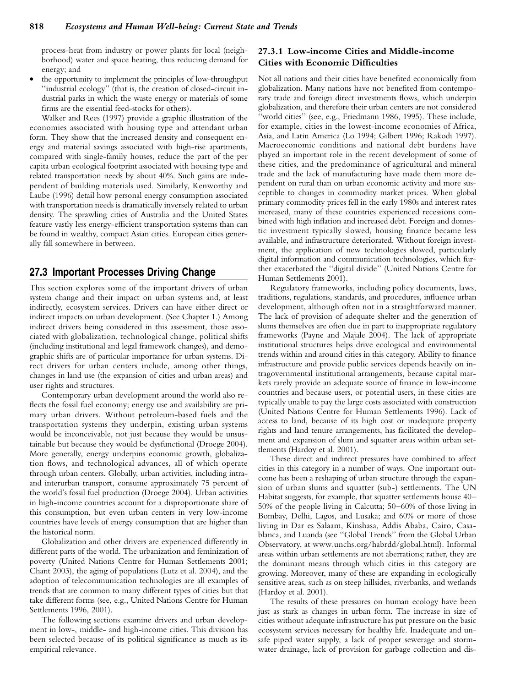process-heat from industry or power plants for local (neighborhood) water and space heating, thus reducing demand for energy; and

• the opportunity to implement the principles of low-throughput ''industrial ecology'' (that is, the creation of closed-circuit industrial parks in which the waste energy or materials of some firms are the essential feed-stocks for others).

Walker and Rees (1997) provide a graphic illustration of the economies associated with housing type and attendant urban form. They show that the increased density and consequent energy and material savings associated with high-rise apartments, compared with single-family houses, reduce the part of the per capita urban ecological footprint associated with housing type and related transportation needs by about 40%. Such gains are independent of building materials used. Similarly, Kenworthy and Laube (1996) detail how personal energy consumption associated with transportation needs is dramatically inversely related to urban density. The sprawling cities of Australia and the United States feature vastly less energy-efficient transportation systems than can be found in wealthy, compact Asian cities. European cities generally fall somewhere in between.

# **27.3 Important Processes Driving Change**

This section explores some of the important drivers of urban system change and their impact on urban systems and, at least indirectly, ecosystem services. Drivers can have either direct or indirect impacts on urban development. (See Chapter 1.) Among indirect drivers being considered in this assessment, those associated with globalization, technological change, political shifts (including institutional and legal framework changes), and demographic shifts are of particular importance for urban systems. Direct drivers for urban centers include, among other things, changes in land use (the expansion of cities and urban areas) and user rights and structures.

Contemporary urban development around the world also reflects the fossil fuel economy; energy use and availability are primary urban drivers. Without petroleum-based fuels and the transportation systems they underpin, existing urban systems would be inconceivable, not just because they would be unsustainable but because they would be dysfunctional (Droege 2004). More generally, energy underpins economic growth, globalization flows, and technological advances, all of which operate through urban centers. Globally, urban activities, including intraand interurban transport, consume approximately 75 percent of the world's fossil fuel production (Droege 2004). Urban activities in high-income countries account for a disproportionate share of this consumption, but even urban centers in very low-income countries have levels of energy consumption that are higher than the historical norm.

Globalization and other drivers are experienced differently in different parts of the world. The urbanization and feminization of poverty (United Nations Centre for Human Settlements 2001; Chant 2003), the aging of populations (Lutz et al. 2004), and the adoption of telecommunication technologies are all examples of trends that are common to many different types of cities but that take different forms (see, e.g., United Nations Centre for Human Settlements 1996, 2001).

The following sections examine drivers and urban development in low-, middle- and high-income cities. This division has been selected because of its political significance as much as its empirical relevance.

# **27.3.1 Low-income Cities and Middle-income Cities with Economic Difficulties**

Not all nations and their cities have benefited economically from globalization. Many nations have not benefited from contemporary trade and foreign direct investments flows, which underpin globalization, and therefore their urban centers are not considered ''world cities'' (see, e.g., Friedmann 1986, 1995). These include, for example, cities in the lowest-income economies of Africa, Asia, and Latin America (Lo 1994; Gilbert 1996; Rakodi 1997). Macroeconomic conditions and national debt burdens have played an important role in the recent development of some of these cities, and the predominance of agricultural and mineral trade and the lack of manufacturing have made them more dependent on rural than on urban economic activity and more susceptible to changes in commodity market prices. When global primary commodity prices fell in the early 1980s and interest rates increased, many of these countries experienced recessions combined with high inflation and increased debt. Foreign and domestic investment typically slowed, housing finance became less available, and infrastructure deteriorated. Without foreign investment, the application of new technologies slowed, particularly digital information and communication technologies, which further exacerbated the ''digital divide'' (United Nations Centre for Human Settlements 2001).

Regulatory frameworks, including policy documents, laws, traditions, regulations, standards, and procedures, influence urban development, although often not in a straightforward manner. The lack of provision of adequate shelter and the generation of slums themselves are often due in part to inappropriate regulatory frameworks (Payne and Majale 2004). The lack of appropriate institutional structures helps drive ecological and environmental trends within and around cities in this category. Ability to finance infrastructure and provide public services depends heavily on intragovernmental institutional arrangements, because capital markets rarely provide an adequate source of finance in low-income countries and because users, or potential users, in these cities are typically unable to pay the large costs associated with construction (United Nations Centre for Human Settlements 1996). Lack of access to land, because of its high cost or inadequate property rights and land tenure arrangements, has facilitated the development and expansion of slum and squatter areas within urban settlements (Hardoy et al. 2001).

These direct and indirect pressures have combined to affect cities in this category in a number of ways. One important outcome has been a reshaping of urban structure through the expansion of urban slums and squatter (sub-) settlements. The UN Habitat suggests, for example, that squatter settlements house 40– 50% of the people living in Calcutta; 50–60% of those living in Bombay, Delhi, Lagos, and Lusaka; and 60% or more of those living in Dar es Salaam, Kinshasa, Addis Ababa, Cairo, Casablanca, and Luanda (see ''Global Trends'' from the Global Urban Observatory, at www.unchs.org/habrdd/global.html). Informal areas within urban settlements are not aberrations; rather, they are the dominant means through which cities in this category are growing. Moreover, many of these are expanding in ecologically sensitive areas, such as on steep hillsides, riverbanks, and wetlands (Hardoy et al. 2001).

The results of these pressures on human ecology have been just as stark as changes in urban form. The increase in size of cities without adequate infrastructure has put pressure on the basic ecosystem services necessary for healthy life. Inadequate and unsafe piped water supply, a lack of proper sewerage and stormwater drainage, lack of provision for garbage collection and dis-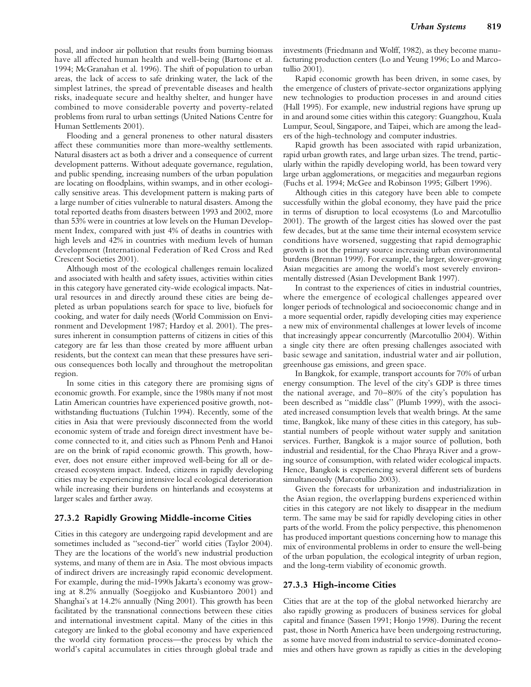posal, and indoor air pollution that results from burning biomass have all affected human health and well-being (Bartone et al. 1994; McGranahan et al. 1996). The shift of population to urban areas, the lack of access to safe drinking water, the lack of the simplest latrines, the spread of preventable diseases and health risks, inadequate secure and healthy shelter, and hunger have combined to move considerable poverty and poverty-related problems from rural to urban settings (United Nations Centre for Human Settlements 2001).

Flooding and a general proneness to other natural disasters affect these communities more than more-wealthy settlements. Natural disasters act as both a driver and a consequence of current development patterns. Without adequate governance, regulation, and public spending, increasing numbers of the urban population are locating on floodplains, within swamps, and in other ecologically sensitive areas. This development pattern is making parts of a large number of cities vulnerable to natural disasters. Among the total reported deaths from disasters between 1993 and 2002, more than 53% were in countries at low levels on the Human Development Index, compared with just 4% of deaths in countries with high levels and 42% in countries with medium levels of human development (International Federation of Red Cross and Red Crescent Societies 2001).

Although most of the ecological challenges remain localized and associated with health and safety issues, activities within cities in this category have generated city-wide ecological impacts. Natural resources in and directly around these cities are being depleted as urban populations search for space to live, biofuels for cooking, and water for daily needs (World Commission on Environment and Development 1987; Hardoy et al. 2001). The pressures inherent in consumption patterns of citizens in cities of this category are far less than those created by more affluent urban residents, but the context can mean that these pressures have serious consequences both locally and throughout the metropolitan region.

In some cities in this category there are promising signs of economic growth. For example, since the 1980s many if not most Latin American countries have experienced positive growth, notwithstanding fluctuations (Tulchin 1994). Recently, some of the cities in Asia that were previously disconnected from the world economic system of trade and foreign direct investment have become connected to it, and cities such as Phnom Penh and Hanoi are on the brink of rapid economic growth. This growth, however, does not ensure either improved well-being for all or decreased ecosystem impact. Indeed, citizens in rapidly developing cities may be experiencing intensive local ecological deterioration while increasing their burdens on hinterlands and ecosystems at larger scales and farther away.

## **27.3.2 Rapidly Growing Middle-income Cities**

Cities in this category are undergoing rapid development and are sometimes included as ''second-tier'' world cities (Taylor 2004). They are the locations of the world's new industrial production systems, and many of them are in Asia. The most obvious impacts of indirect drivers are increasingly rapid economic development. For example, during the mid-1990s Jakarta's economy was growing at 8.2% annually (Soegijoko and Kusbiantoro 2001) and Shanghai's at 14.2% annually (Ning 2001). This growth has been facilitated by the transnational connections between these cities and international investment capital. Many of the cities in this category are linked to the global economy and have experienced the world city formation process—the process by which the world's capital accumulates in cities through global trade and investments (Friedmann and Wolff, 1982), as they become manufacturing production centers (Lo and Yeung 1996; Lo and Marcotullio 2001).

Rapid economic growth has been driven, in some cases, by the emergence of clusters of private-sector organizations applying new technologies to production processes in and around cities (Hall 1995). For example, new industrial regions have sprung up in and around some cities within this category: Guangzhou, Kuala Lumpur, Seoul, Singapore, and Taipei, which are among the leaders of the high-technology and computer industries.

Rapid growth has been associated with rapid urbanization, rapid urban growth rates, and large urban sizes. The trend, particularly within the rapidly developing world, has been toward very large urban agglomerations, or megacities and megaurban regions (Fuchs et al. 1994; McGee and Robinson 1995; Gilbert 1996).

Although cities in this category have been able to compete successfully within the global economy, they have paid the price in terms of disruption to local ecosystems (Lo and Marcotullio 2001). The growth of the largest cities has slowed over the past few decades, but at the same time their internal ecosystem service conditions have worsened, suggesting that rapid demographic growth is not the primary source increasing urban environmental burdens (Brennan 1999). For example, the larger, slower-growing Asian megacities are among the world's most severely environmentally distressed (Asian Development Bank 1997).

In contrast to the experiences of cities in industrial countries, where the emergence of ecological challenges appeared over longer periods of technological and socioeconomic change and in a more sequential order, rapidly developing cities may experience a new mix of environmental challenges at lower levels of income that increasingly appear concurrently (Marcotullio 2004). Within a single city there are often pressing challenges associated with basic sewage and sanitation, industrial water and air pollution, greenhouse gas emissions, and green space.

In Bangkok, for example, transport accounts for 70% of urban energy consumption. The level of the city's GDP is three times the national average, and 70–80% of the city's population has been described as ''middle class'' (Plumb 1999), with the associated increased consumption levels that wealth brings. At the same time, Bangkok, like many of these cities in this category, has substantial numbers of people without water supply and sanitation services. Further, Bangkok is a major source of pollution, both industrial and residential, for the Chao Phraya River and a growing source of consumption, with related wider ecological impacts. Hence, Bangkok is experiencing several different sets of burdens simultaneously (Marcotullio 2003).

Given the forecasts for urbanization and industrialization in the Asian region, the overlapping burdens experienced within cities in this category are not likely to disappear in the medium term. The same may be said for rapidly developing cities in other parts of the world. From the policy perspective, this phenomenon has produced important questions concerning how to manage this mix of environmental problems in order to ensure the well-being of the urban population, the ecological integrity of urban region, and the long-term viability of economic growth.

#### **27.3.3 High-income Cities**

Cities that are at the top of the global networked hierarchy are also rapidly growing as producers of business services for global capital and finance (Sassen 1991; Honjo 1998). During the recent past, those in North America have been undergoing restructuring, as some have moved from industrial to service-dominated economies and others have grown as rapidly as cities in the developing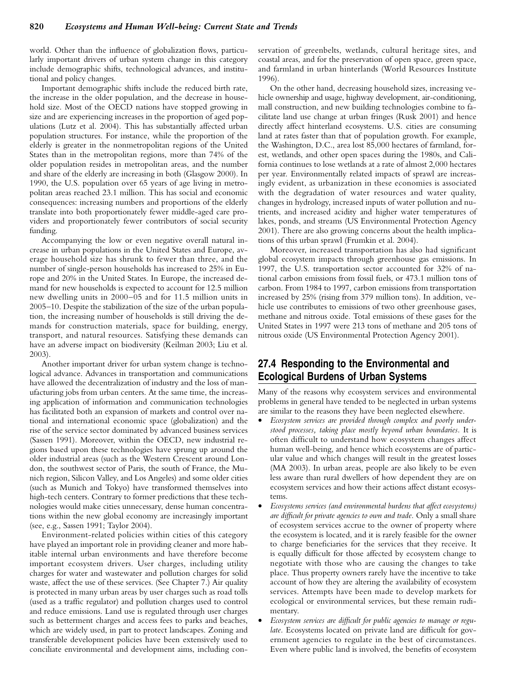world. Other than the influence of globalization flows, particularly important drivers of urban system change in this category include demographic shifts, technological advances, and institutional and policy changes.

Important demographic shifts include the reduced birth rate, the increase in the older population, and the decrease in household size. Most of the OECD nations have stopped growing in size and are experiencing increases in the proportion of aged populations (Lutz et al. 2004). This has substantially affected urban population structures. For instance, while the proportion of the elderly is greater in the nonmetropolitan regions of the United States than in the metropolitan regions, more than 74% of the older population resides in metropolitan areas, and the number and share of the elderly are increasing in both (Glasgow 2000). In 1990, the U.S. population over 65 years of age living in metropolitan areas reached 23.1 million. This has social and economic consequences: increasing numbers and proportions of the elderly translate into both proportionately fewer middle-aged care providers and proportionately fewer contributors of social security funding.

Accompanying the low or even negative overall natural increase in urban populations in the United States and Europe, average household size has shrunk to fewer than three, and the number of single-person households has increased to 25% in Europe and 20% in the United States. In Europe, the increased demand for new households is expected to account for 12.5 million new dwelling units in 2000–05 and for 11.5 million units in 2005–10. Despite the stabilization of the size of the urban population, the increasing number of households is still driving the demands for construction materials, space for building, energy, transport, and natural resources. Satisfying these demands can have an adverse impact on biodiversity (Keilman 2003; Liu et al. 2003).

Another important driver for urban system change is technological advance. Advances in transportation and communications have allowed the decentralization of industry and the loss of manufacturing jobs from urban centers. At the same time, the increasing application of information and communication technologies has facilitated both an expansion of markets and control over national and international economic space (globalization) and the rise of the service sector dominated by advanced business services (Sassen 1991). Moreover, within the OECD, new industrial regions based upon these technologies have sprung up around the older industrial areas (such as the Western Crescent around London, the southwest sector of Paris, the south of France, the Munich region, Silicon Valley, and Los Angeles) and some older cities (such as Munich and Tokyo) have transformed themselves into high-tech centers. Contrary to former predictions that these technologies would make cities unnecessary, dense human concentrations within the new global economy are increasingly important (see, e.g., Sassen 1991; Taylor 2004).

Environment-related policies within cities of this category have played an important role in providing cleaner and more habitable internal urban environments and have therefore become important ecosystem drivers. User charges, including utility charges for water and wastewater and pollution charges for solid waste, affect the use of these services. (See Chapter 7.) Air quality is protected in many urban areas by user charges such as road tolls (used as a traffic regulator) and pollution charges used to control and reduce emissions. Land use is regulated through user charges such as betterment charges and access fees to parks and beaches, which are widely used, in part to protect landscapes. Zoning and transferable development policies have been extensively used to conciliate environmental and development aims, including conservation of greenbelts, wetlands, cultural heritage sites, and coastal areas, and for the preservation of open space, green space, and farmland in urban hinterlands (World Resources Institute 1996).

On the other hand, decreasing household sizes, increasing vehicle ownership and usage, highway development, air-conditioning, mall construction, and new building technologies combine to facilitate land use change at urban fringes (Rusk 2001) and hence directly affect hinterland ecosystems. U.S. cities are consuming land at rates faster than that of population growth. For example, the Washington, D.C., area lost 85,000 hectares of farmland, forest, wetlands, and other open spaces during the 1980s, and California continues to lose wetlands at a rate of almost 2,000 hectares per year. Environmentally related impacts of sprawl are increasingly evident, as urbanization in these economies is associated with the degradation of water resources and water quality, changes in hydrology, increased inputs of water pollution and nutrients, and increased acidity and higher water temperatures of lakes, ponds, and streams (US Environmental Protection Agency 2001). There are also growing concerns about the health implications of this urban sprawl (Frumkin et al. 2004).

Moreover, increased transportation has also had significant global ecosystem impacts through greenhouse gas emissions. In 1997, the U.S. transportation sector accounted for 32% of national carbon emissions from fossil fuels, or 473.1 million tons of carbon. From 1984 to 1997, carbon emissions from transportation increased by 25% (rising from 379 million tons). In addition, vehicle use contributes to emissions of two other greenhouse gases, methane and nitrous oxide. Total emissions of these gases for the United States in 1997 were 213 tons of methane and 205 tons of nitrous oxide (US Environmental Protection Agency 2001).

# **27.4 Responding to the Environmental and Ecological Burdens of Urban Systems**

Many of the reasons why ecosystem services and environmental problems in general have tended to be neglected in urban systems are similar to the reasons they have been neglected elsewhere.

- *Ecosystem services are provided through complex and poorly understood processes, taking place mostly beyond urban boundaries.* It is often difficult to understand how ecosystem changes affect human well-being, and hence which ecosystems are of particular value and which changes will result in the greatest losses (MA 2003). In urban areas, people are also likely to be even less aware than rural dwellers of how dependent they are on ecosystem services and how their actions affect distant ecosystems.
- *Ecosystems services (and environmental burdens that affect ecosystems) are difficult for private agencies to own and trade.* Only a small share of ecosystem services accrue to the owner of property where the ecosystem is located, and it is rarely feasible for the owner to charge beneficiaries for the services that they receive. It is equally difficult for those affected by ecosystem change to negotiate with those who are causing the changes to take place. Thus property owners rarely have the incentive to take account of how they are altering the availability of ecosystem services. Attempts have been made to develop markets for ecological or environmental services, but these remain rudimentary.
- *Ecosystem services are difficult for public agencies to manage or regulate.* Ecosystems located on private land are difficult for government agencies to regulate in the best of circumstances. Even where public land is involved, the benefits of ecosystem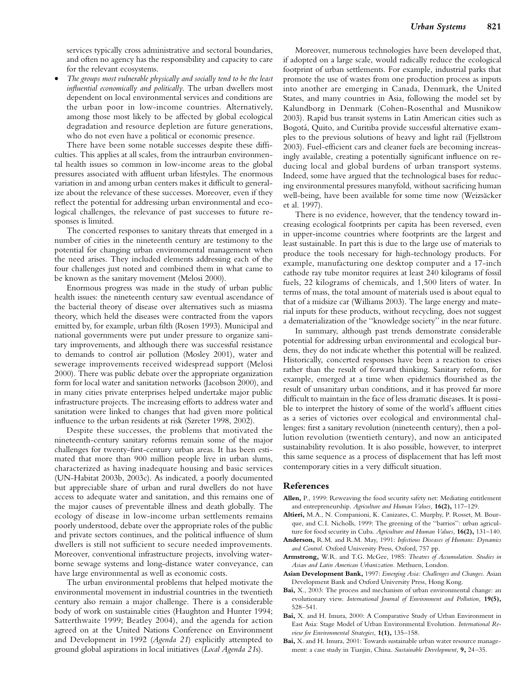services typically cross administrative and sectoral boundaries, and often no agency has the responsibility and capacity to care for the relevant ecosystems.

• *The groups most vulnerable physically and socially tend to be the least influential economically and politically.* The urban dwellers most dependent on local environmental services and conditions are the urban poor in low-income countries. Alternatively, among those most likely to be affected by global ecological degradation and resource depletion are future generations, who do not even have a political or economic presence.

There have been some notable successes despite these difficulties. This applies at all scales, from the intraurban environmental health issues so common in low-income areas to the global pressures associated with affluent urban lifestyles. The enormous variation in and among urban centers makes it difficult to generalize about the relevance of these successes. Moreover, even if they reflect the potential for addressing urban environmental and ecological challenges, the relevance of past successes to future responses is limited.

The concerted responses to sanitary threats that emerged in a number of cities in the nineteenth century are testimony to the potential for changing urban environmental management when the need arises. They included elements addressing each of the four challenges just noted and combined them in what came to be known as the sanitary movement (Melosi 2000).

Enormous progress was made in the study of urban public health issues: the nineteenth century saw eventual ascendance of the bacterial theory of disease over alternatives such as miasma theory, which held the diseases were contracted from the vapors emitted by, for example, urban filth (Rosen 1993). Municipal and national governments were put under pressure to organize sanitary improvements, and although there was successful resistance to demands to control air pollution (Mosley 2001), water and sewerage improvements received widespread support (Melosi 2000). There was public debate over the appropriate organization form for local water and sanitation networks (Jacobson 2000), and in many cities private enterprises helped undertake major public infrastructure projects. The increasing efforts to address water and sanitation were linked to changes that had given more political influence to the urban residents at risk (Szreter 1998, 2002).

Despite these successes, the problems that motivated the nineteenth-century sanitary reforms remain some of the major challenges for twenty-first-century urban areas. It has been estimated that more than 900 million people live in urban slums, characterized as having inadequate housing and basic services (UN-Habitat 2003b, 2003c). As indicated, a poorly documented but appreciable share of urban and rural dwellers do not have access to adequate water and sanitation, and this remains one of the major causes of preventable illness and death globally. The ecology of disease in low-income urban settlements remains poorly understood, debate over the appropriate roles of the public and private sectors continues, and the political influence of slum dwellers is still not sufficient to secure needed improvements. Moreover, conventional infrastructure projects, involving waterborne sewage systems and long-distance water conveyance, can have large environmental as well as economic costs.

The urban environmental problems that helped motivate the environmental movement in industrial countries in the twentieth century also remain a major challenge. There is a considerable body of work on sustainable cities (Haughton and Hunter 1994; Satterthwaite 1999; Beatley 2004), and the agenda for action agreed on at the United Nations Conference on Environment and Development in 1992 (*Agenda 21*) explicitly attempted to ground global aspirations in local initiatives (*Local Agenda 21*s).

Moreover, numerous technologies have been developed that, if adopted on a large scale, would radically reduce the ecological footprint of urban settlements. For example, industrial parks that promote the use of wastes from one production process as inputs into another are emerging in Canada, Denmark, the United States, and many countries in Asia, following the model set by Kalundborg in Denmark (Cohen-Rosenthal and Musnikow 2003). Rapid bus transit systems in Latin American cities such as Bogota´, Quito, and Curitiba provide successful alternative examples to the previous solutions of heavy and light rail (Fjellstrom 2003). Fuel-efficient cars and cleaner fuels are becoming increasingly available, creating a potentially significant influence on reducing local and global burdens of urban transport systems. Indeed, some have argued that the technological bases for reducing environmental pressures manyfold, without sacrificing human well-being, have been available for some time now (Weizsäcker et al. 1997).

There is no evidence, however, that the tendency toward increasing ecological footprints per capita has been reversed, even in upper-income countries where footprints are the largest and least sustainable. In part this is due to the large use of materials to produce the tools necessary for high-technology products. For example, manufacturing one desktop computer and a 17-inch cathode ray tube monitor requires at least 240 kilograms of fossil fuels, 22 kilograms of chemicals, and 1,500 liters of water. In terms of mass, the total amount of materials used is about equal to that of a midsize car (Williams 2003). The large energy and material inputs for these products, without recycling, does not suggest a dematerialization of the ''knowledge society'' in the near future.

In summary, although past trends demonstrate considerable potential for addressing urban environmental and ecological burdens, they do not indicate whether this potential will be realized. Historically, concerted responses have been a reaction to crises rather than the result of forward thinking. Sanitary reform, for example, emerged at a time when epidemics flourished as the result of unsanitary urban conditions, and it has proved far more difficult to maintain in the face of less dramatic diseases. It is possible to interpret the history of some of the world's affluent cities as a series of victories over ecological and environmental challenges: first a sanitary revolution (nineteenth century), then a pollution revolution (twentieth century), and now an anticipated sustainability revolution. It is also possible, however, to interpret this same sequence as a process of displacement that has left most contemporary cities in a very difficult situation.

## **References**

- **Allen,** P., 1999: Reweaving the food security safety net: Mediating entitlement and entrepreneurship. *Agriculture and Human Values,* **16(2),** 117–129.
- **Altieri,** M.A., N. Companioni, K. Canizares, C. Murphy, P. Rosset, M. Bourque, and C.I. Nicholls, 1999: The greening of the ''barrios'': urban agriculture for food security in Cuba. *Agriculture and Human Values,* **16(2),** 131–140.
- **Anderson,** R.M. and R.M. May, 1991: *Infectious Diseases of Humans: Dynamics and Control.* Oxford University Press, Oxford, 757 pp.
- **Armstrong,** W.R. and T.G. McGee, 1985: *Theatres of Accumulation. Studies in Asian and Latin American Urbanization.* Methuen, London.
- **Asian Development Bank,** 1997: *Emerging Asia: Challenges and Changes.* Asian Development Bank and Oxford University Press, Hong Kong.
- **Bai,** X., 2003: The process and mechanism of urban environmental change: an evolutionary view. *International Journal of Environment and Pollution,* **19(5),** 528–541.
- **Bai,** X. and H. Imura, 2000: A Comparative Study of Urban Environment in East Asia: Stage Model of Urban Environmental Evolution. *International Review for Environmental Strategies,* **1(1),** 135–158.
- **Bai,** X. and H. Imura, 2001: Towards sustainable urban water resource management: a case study in Tianjin, China. *Sustainable Development,* **9,** 24–35.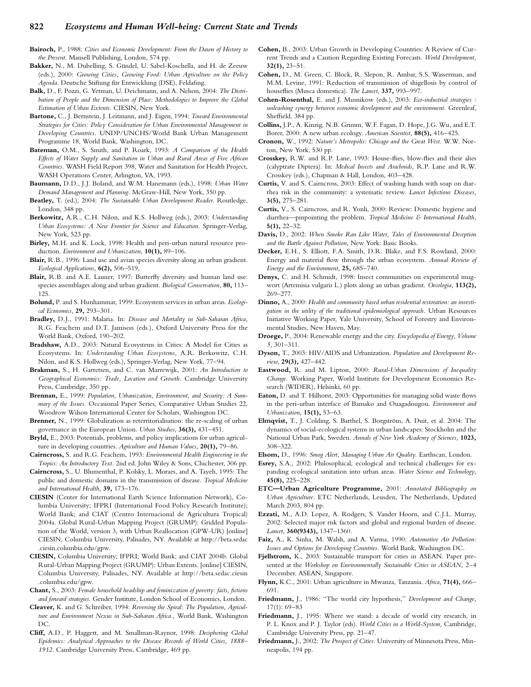- **Bairoch,** P., 1988: *Cities and Economic Development: From the Dawn of History to the Present.* Mansell Publishing, London, 574 pp.
- Bakker, N., M. Dubelling, S. Gündel, U. Sabel-Koschella, and H. de Zeeuw (eds.), 2000: *Growing Cities, Growing Food: Urban Agriculture on the Policy* Agenda. Deutsche Stiftung für Entwicklung (DSE), Feldafing.
- **Balk,** D., F. Pozzi, G. Yetman, U. Deichmann, and A. Nelson, 2004: *The Distribution of People and the Dimension of Place: Methodologies to Improve the Global Estimation of Urban Extents.* CIESIN, New York.
- **Bartone,** C., J. Bernstein, J. Leitmann, and J. Eigen, 1994: *Toward Environmental Strategies for Cities: Policy Consideration for Urban Environmental Management in Developing Countries.* UNDP/UNCHS/World Bank Urban Management Programme 18, World Bank, Washington, DC.
- **Bateman,** O.M., S. Smith, and P. Roark, 1993: *A Comparison of the Health Effects of Water Supply and Sanitation in Urban and Rural Areas of Five African Countries.* WASH Field Report 398, Water and Sanitation for Health Project, WASH Operations Center, Arlington, VA, 1993.
- **Baumann,** D.D., J. J. Boland, and W.M. Hanemann (eds.), 1998: *Urban Water Demand Management and Planning.* McGraw-Hill, New York, 350 pp.
- **Beatley,** T. (ed.), 2004: *The Sustainable Urban Development Reader.* Routledge, London, 348 pp.
- **Berkowitz,** A.R., C.H. Nilon, and K.S. Hollweg (eds.), 2003: *Understanding Urban Ecosystems: A New Frontier for Science and Education.* Springer-Verlag, New York, 523 pp.
- **Birley,** M.H. and K. Lock, 1998: Health and peri-urban natural resource production. *Environment and Urbanization,* **10(1),** 89–106.
- **Blair,** R.B., 1996: Land use and avian species diversity along an urban gradient. *Ecological Applications,* **6(2),** 506–519.
- **Blair,** R.B. and A.E. Launer, 1997: Butterfly diversity and human land use: species assemblages along and urban gradient. *Biological Conservation,* **80,** 113– 125.
- **Bolund,** P. and S. Hunhammar, 1999: Ecosystem services in urban areas. *Ecological Economics,* **29,** 293–301.
- **Bradley,** D. J., 1991: Malaria. In: *Disease and Mortality in Sub-Saharan Africa,* R.G. Feachem and D.T. Jamison (eds.), Oxford University Press for the World Bank, Oxford, 190–202.
- **Bradshaw,** A.D., 2003: Natural Ecosystems in Cities: A Model for Cities as Ecosystems. In: *Understanding Urban Ecosystems,* A.R. Berkowitz, C.H. Nilon, and K.S. Hollweg (eds.), Springer-Verlag, New York, 77–94.
- **Brakman,** S., H. Garretsen, and C. van Marrewijk, 2001: *An Introduction to Geographical Economics: Trade, Location and Growth.* Cambridge University Press, Cambridge, 350 pp.
- **Brennan,** E., 1999: *Population, Urbanization, Environment, and Security: A Summary of the Issues.* Occasional Paper Series, Comparative Urban Studies 22, Woodrow Wilson International Center for Scholars, Washington DC.
- **Brenner,** N., 1999: Globalization as reterritorialisation: the re-scaling of urban governance in the European Union. *Urban Studies,* **36(3),** 431–451.
- **Bryld,** E., 2003: Potentials, problems, and policy implications for urban agriculture in developing countries. *Agriculture and Human Values,* **20(1),** 79–86.
- **Cairncross,** S. and R.G. Feachem, 1993: *Environmental Health Engineering in the Tropics: An Introductory Text.* 2nd ed. John Wiley & Sons, Chichester, 306 pp.
- **Cairncross,** S., U. Blumenthal, P. Kolsky, L. Moraes, and A. Tayeh, 1995: The public and domestic domains in the transmission of disease. *Tropical Medicine and International Health,* **39,** 173–176.
- **CIESIN** (Center for International Earth Science Information Network), Columbia University; IFPRI (International Food Policy Research Institute); World Bank; and CIAT (Centro Internacional de Agricultura Tropical) 2004a. Global Rural-Urban Mapping Project (GRUMP): Gridded Population of the World, version 3, with Urban Reallocation (GPW-UR) [online] CIESIN, Columbia University, Palisades, NY. Available at http://beta.sedac .ciesin.columbia.edu/gpw.
- **CIESIN,** Columbia University; IFPRI; World Bank; and CIAT 2004b. Global Rural-Urban Mapping Project (GRUMP): Urban Extents. [online] CIESIN, Columbia University, Palisades, NY. Available at http://beta.sedac.ciesin .columbia.edu/gpw.
- **Chant,** S., 2003: *Female household headship and feminization of poverty: facts, fictions and forward strategies.* Gender Institute, London School of Economics, London.
- **Cleaver,** K. and G. Schreiber, 1994: *Reversing the Spiral: The Population, Agriculture and Environment Nexus in Sub-Saharan Africa.,* World Bank, Washington DC.
- **Cliff,** A.D., P. Haggett, and M. Smallman-Raynor, 1998: *Deciphering Global Epidemics: Analytical Approaches to the Disease Records of World Cities, 1888– 1912.* Cambridge University Press, Cambridge, 469 pp.
- **Cohen,** B., 2003: Urban Growth in Developing Countries: A Review of Current Trends and a Caution Regarding Existing Forecasts. *World Development,* **32(1),** 23–51.
- **Cohen,** D., M. Green, C. Block, R. Slepon, R. Ambar, S.S. Wasserman, and M.M. Levine, 1991: Reduction of transmission of shigellosis by control of houseflies (Musca domestica). *The Lancet,* **337,** 993–997.
- **Cohen-Rosenthal,** E. and J. Musnikow (eds.), 2003: *Eco-industrial strategies : unleashing synergy between economic development and the environment.* Greenleaf, Sheffield, 384 pp.
- **Collins,** J.P., A. Kinzig, N.B. Grimm, W.F. Fagan, D. Hope, J.G. Wu, and E.T. Borer, 2000: A new urban ecology. *American Scientist,* **88(5),** 416–425.
- **Cronon,** W., 1992: *Nature's Metropolis: Chicago and the Great West.* W.W. Norton, New York, 530 pp.
- **Crosskey,** R.W. and R.P. Lane, 1993: House-flies, blow-flies and their alies (calyptrate Diptera). In: *Medical Insects and Arachnids,* R.P. Lane and R.W. Crosskey (eds.), Chapman & Hall, London, 403–428.
- **Curtis,** V. and S. Cairncross, 2003: Effect of washing hands with soap on diarrhea risk in the community: a systematic review. *Lancet Infectious Diseases,* **3(5),** 275–281.
- **Curtis,** V., S. Cairncross, and R. Yonli, 2000: Review: Domestic hygiene and diarrhea—pinpointing the problem. *Tropical Medicine & International Health,* **5(1),** 22–32.
- **Davis,** D., 2002: *When Smoke Ran Like Water, Tales of Environmental Deception and the Battle Against Pollution,* New York: Basic Books.
- **Decker,** E.H., S. Elliott, F.A. Smith, D.R. Blake, and F.S. Rowland, 2000: Energy and material flow through the urban ecosystem. *Annual Review of Energy and the Environment,* **25,** 685–740.
- **Denys,** C. and H. Schmidt, 1998: Insect communities on experimental mugwort (Artemisia vulgaris L.) plots along an urban gradient. *Oecologia,* **113(2),** 269–277.
- **Dinno,** A., 2000: *Health and community based urban residential restoration: an investigation in the utility of the traditional epidemiological approach.* Urban Resources Initiative Working Paper, Yale University, School of Forestry and Environmental Studies, New Haven, May.
- **Droege,** P., 2004: Renewable energy and the city. *Encyclopedia of Energy, Volume 5,* 301–311.
- **Dyson,** T., 2003: HIV/AIDS and Urbanization. *Population and Development Review,* **29(3),** 427–442.
- **Eastwood,** R. and M. Lipton, 2000: *Rural-Urban Dimensions of Inequality Change.* Working Paper, World Institute for Development Economics Research (WIDER), Helsinki, 60 pp.
- **Eaton,** D. and T. Hilhorst, 2003: Opportunities for managing solid waste flows in the peri-urban interface of Bamako and Ouagadougou. *Environment and Urbanization,* **15(1),** 53–63.
- Elmqvist, T., J. Colding, S. Barthel, S. Borgström, A. Duit, et al. 2004: The dynamics of social-ecological systems in urban landscapes: Stockholm and the National Urban Park, Sweden. *Annals of New York Academy of Sciences,* **1023,** 308–322.
- **Elsom,** D., 1996: *Smog Alert, Managing Urban Air Quality.* Earthscan, London.
- **Esrey,** S.A., 2002: Philosophical, ecological and technical challenges for expanding ecological sanitation into urban areas. *Water Science and Technology,* **45(8),** 225–228.
- **ETC—Urban Agriculture Programme,** 2001: *Annotated Bibliography on Urban Agriculture.* ETC Netherlands, Leusden, The Netherlands, Updated March 2003, 804 pp.
- Ezzati, M., A.D. Lopez, A. Rodgers, S. Vander Hoorn, and C.J.L. Murray, 2002: Selected major risk factors and global and regional burden of disease. *Lancet,* **360(9343),** 1347–1360.
- **Faiz,** A., K. Sinha, M. Walsh, and A. Varma, 1990: *Automotive Air Pollution: Issues and Options for Developing Countries.* World Bank, Washington DC.
- **Fjellstrom,** K., 2003: Sustainable transport for cities in ASEAN. Paper presented at the *Workshop on Environmentally Sustainable Cities in ASEAN,* 2–4 December. ASEAN, Singapore.
- **Flynn,** K.C., 2001: Urban agriculture in Mwanza, Tanzania. *Africa,* **71(4),** 666– 691.
- **Friedmann,** J., 1986: ''The world city hypothesis,'' *Development and Change,* 17(1): 69–83
- **Friedmann,** J., 1995: Where we stand: a decade of world city research, in P. L. Knox and P. J. Taylor (eds). *World Cities in a World-System,* Cambridge, Cambridge University Press, pp. 21–47.
- **Friedmann,** J., 2002: *The Prospect of Cities.* University of Minnesota Press, Minneapolis, 194 pp.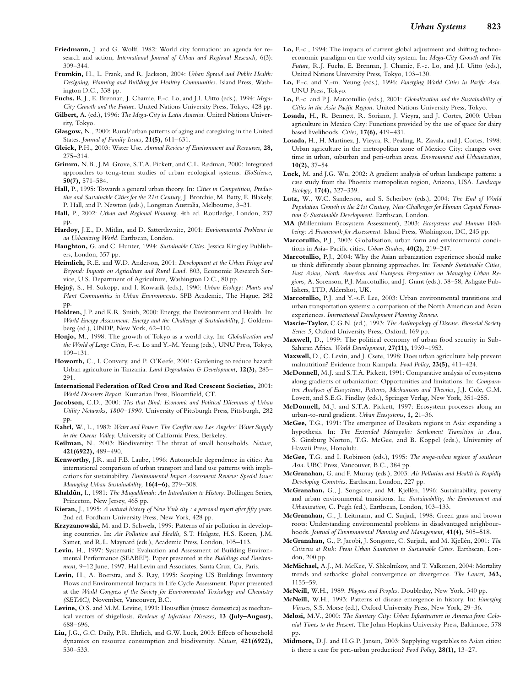- **Friedmann,** J. and G. Wolff, 1982: World city formation: an agenda for research and action, *International Journal of Urban and Regional Research,* 6(3): 309–344.
- **Frumkin,** H., L. Frank, and R. Jackson, 2004: *Urban Sprawl and Public Health: Designing, Planning and Building for Healthy Communities.* Island Press, Washington D.C., 338 pp.
- **Fuchs,** R. J., E. Brennan, J. Chamie, F.-c. Lo, and J.I. Uitto (eds.), 1994: *Mega-City Growth and the Future.* United Nations University Press, Tokyo, 428 pp.
- **Gilbert,** A. (ed.), 1996: *The Mega-City in Latin America.* United Nations University, Tokyo.
- **Glasgow,** N., 2000: Rural/urban patterns of aging and caregiving in the United States. *Journal of Family Issues,* **21(5),** 611–631.
- **Gleick,** P.H., 2003: Water Use. *Annual Review of Environment and Resources,* **28,** 275–314.
- **Grimm,** N.B., J.M. Grove, S.T.A. Pickett, and C.L. Redman, 2000: Integrated approaches to tong-term studies of urban ecological systems. *BioScience,* **50(7),** 571–584.
- **Hall,** P., 1995: Towards a general urban theory. In: *Cities in Competition, Productive and Sustainable Cities for the 21st Century,* J. Brotchie, M. Batty, E. Blakely, P. Hall, and P. Newton (eds.), Longman Australia, Melbourne, 3–31.
- **Hall,** P., 2002: *Urban and Regional Planning.* 4th ed. Routledge, London, 237 pp.
- **Hardoy,** J.E., D. Mitlin, and D. Satterthwaite, 2001: *Environmental Problems in an Urbanizing World.* Earthscan, London.
- **Haughton,** G. and C. Hunter, 1994: *Sustainable Cities.* Jessica Kingley Publishers, London, 357 pp.
- **Heimlich,** R.E. and W.D. Anderson, 2001: *Development at the Urban Fringe and Beyond: Impacts on Agriculture and Rural Land.* 803, Economic Research Service, U.S. Department of Agriculture, Washington D.C., 80 pp.
- **Hejny´,** S., H. Sukopp, and I. Kowarik (eds.), 1990: *Urban Ecology: Plants and Plant Communities in Urban Environments.* SPB Academic, The Hague, 282 pp.
- **Holdren,** J.P. and K.R. Smith, 2000: Energy, the Environment and Health. In: *World Energy Assessment: Energy and the Challenge of Sustainability,* J. Goldemberg (ed.), UNDP, New York, 62–110.
- **Honjo,** M., 1998: The growth of Tokyo as a world city. In: *Globalization and the World of Large Cities,* F.-c. Lo and Y.-M. Yeung (eds.), UNU Press, Tokyo, 109–131.
- **Howorth,** C., I. Convery, and P. O'Keefe, 2001: Gardening to reduce hazard: Urban agriculture in Tanzania. *Land Degradation & Development,* **12(3),** 285– 291.
- **International Federation of Red Cross and Red Crescent Societies,** 2001: *World Disasters Report.* Kumarian Press, Bloomfield, CT.
- **Jacobson,** C.D., 2000: *Ties that Bind: Economic and Political Dilemmas of Urban Utility Networks, 1800–1990.* University of Pittsburgh Press, Pittsburgh, 282 pp.
- **Kahrl,** W., L., 1982: *Water and Power: The Conflict over Los Angeles' Water Supply in the Owens Valley.* University of California Press, Berkeley.
- **Keilman,** N., 2003: Biodiversity: The threat of small households. *Nature,* **421(6922),** 489–490.
- **Kenworthy,** J.R. and F.B. Laube, 1996: Automobile dependence in cities: An international comparison of urban transport and land use patterns with implications for sustainability. *Environmental Impact Assessment Review: Special Issue: Managing Urban Sustainability,* **16(4–6),** 279–308.
- **Khalduˆn,** I., 1981: *The Muqaddimah: An Introduction to History.* Bollingen Series, Princeton, New Jersey, 465 pp.
- **Kieran,** J., 1995: *A natural history of New York city : a personal report after fifty years.* 2nd ed. Fordham University Press, New York, 428 pp.
- **Krzyzanowski,** M. and D. Schwela, 1999: Patterns of air pollution in developing countries. In: *Air Pollution and Health,* S.T. Holgate, H.S. Koren, J.M. Samet, and R.L. Maynard (eds.), Academic Press, London, 105–113.
- **Levin,** H., 1997: Systematic Evaluation and Assessment of Building Environmental Performance (SEABEP). Paper presented at the *Buildings and Environment,* 9–12 June, 1997. Hal Levin and Associates, Santa Cruz, Ca, Paris.
- **Levin,** H., A. Boerstra, and S. Ray, 1995: Scoping US Buildings Inventory Flows and Environmental Impacts in Life Cycle Assessment. Paper presented at the *World Congress of the Society for Environmental Toxicology and Chemistry (SETAC),* November, Vancouver, B.C.
- **Levine,** O.S. and M.M. Levine, 1991: Houseflies (musca domestica) as mechanical vectors of shigellosis. *Reviews of Infectious Diseases,* **13 (July–August),** 688–696.
- **Liu,** J.G., G.C. Daily, P.R. Ehrlich, and G.W. Luck, 2003: Effects of household dynamics on resource consumption and biodiversity. *Nature,* **421(6922),** 530–533.
- **Lo,** F.-c., 1994: The impacts of current global adjustment and shifting technoeconomic paradigm on the world city system. In: *Mega-City Growth and The Future,* R. J. Fuchs, E. Brennan, J. Chamie, F.-c. Lo, and J.I. Uitto (eds.), United Nations University Press, Tokyo, 103–130.
- **Lo,** F.-c. and Y.-m. Yeung (eds.), 1996: *Emerging World Cities in Pacific Asia.* UNU Press, Tokyo.
- Lo, F.-c. and P.J. Marcotullio (eds.), 2001: *Globalization and the Sustainability of Cities in the Asia Pacific Region.* United Nations University Press, Tokyo.
- **Losada,** H., R. Bennett, R. Soriano, J. Vieyra, and J. Cortes, 2000: Urban agriculture in Mexico City: Functions provided by the use of space for dairy based livelihoods. *Cities,* **17(6),** 419–431.
- **Losada,** H., H. Martinez, J. Vieyra, R. Pealing, R. Zavala, and J. Cortes, 1998: Urban agriculture in the metropolitan zone of Mexico City: changes over time in urban, suburban and peri-urban areas. *Environment and Urbanization,* **10(2),** 37–54.
- **Luck,** M. and J.G. Wu, 2002: A gradient analysis of urban landscape pattern: a case study from the Phoenix metropolitan region, Arizona, USA. *Landscape Ecology,* **17(4),** 327–339.
- **Lutz,** W., W.C. Sanderson, and S. Scherbov (eds.), 2004: *The End of World Population Growth in the 21st Century, New Challenges for Human Capital Formation & Sustainable Development.* Earthscan, London.
- **MA** (Millennium Ecosystem Assessment), 2003: *Ecosystems and Human Wellbeing: A Framework for Assessment.* Island Press, Washington, DC, 245 pp.
- Marcotullio, P.J., 2003: Globalisation, urban form and environmental conditions in Asia- Pacific cities. *Urban Studies,* **40(2),** 219–247.
- **Marcotullio,** P.J., 2004: Why the Asian urbanization experience should make us think differently about planning approaches. In: *Towards Sustainable Cities, East Asian, North American and European Perspectives on Managing Urban Regions,* A. Sorenson, P. J. Marcotullio, and J. Grant (eds.). 38–58, Ashgate Publishers, LTD, Aldershot, UK.
- Marcotullio, P.J. and Y.-s.F. Lee, 2003: Urban environmental transitions and urban transportation systems: a comparison of the North American and Asian experiences. *International Development Planning Review.*
- **Mascie-Taylor,** C.G.N. (ed.), 1993: *The Anthropology of Disease. Biosocial Society Series 5,* Oxford University Press, Oxford, 169 pp.
- **Maxwell,** D., 1999: The political economy of urban food security in Sub-Saharan Africa. *World Development,* **27(11),** 1939–1953.
- **Maxwell,** D., C. Levin, and J. Csete, 1998: Does urban agriculture help prevent malnutrition? Evidence from Kampala. *Food Policy,* **23(5),** 411–424.
- **McDonnell,** M. J. and S.T.A. Pickett, 1991: Comparative analysis of ecosystems along gradients of urbanization: Opportunities and limitations. In: *Comparative Analyses of Ecosystems, Patterns, Mechanisms and Theories,* J. J. Cole, G.M. Lovett, and S.E.G. Findlay (eds.), Springer Verlag, New York, 351–255.
- **McDonnell,** M. J. and S.T.A. Pickett, 1997: Ecosystem processes along an urban-to-rural gradient. *Urban Ecosystems,* **1,** 21–36.
- **McGee,** T.G., 1991: The emergence of Desakota regions in Asia: expanding a hypothesis. In: *The Extended Metropolis: Settlement Transition in Asia,* S. Ginsburg Norton, T.G. McGee, and B. Koppel (eds.), University of Hawaii Press, Honolulu.
- **McGee,** T.G. and I. Robinson (eds.), 1995: *The mega-urban regions of southeast Asia.* UBC Press, Vancouver, B.C., 384 pp.
- **McGranahan,** G. and F. Murray (eds.), 2003: *Air Pollution and Health in Rapidly Developing Countries.* Earthscan, London, 227 pp.
- McGranahan, G., J. Songsore, and M. Kjellén, 1996: Sustainability, poverty and urban environmental transitions. In: *Sustainability, the Environment and Urbanization,* C. Pugh (ed.), Earthscan, London, 103–133.
- **McGranahan,** G., J. Leitmann, and C. Surjadi, 1998: Green grass and brown roots: Understanding environmental problems in disadvantaged neighbourhoods. *Journal of Environmental Planning and Management,* **41(4),** 505–518.
- McGranahan, G., P. Jacobi, J. Songsore, C. Surjadi, and M. Kjellén, 2001: *The Citizens at Risk: From Urban Sanitation to Sustainable Cities.* Earthscan, London, 200 pp.
- **McMichael,** A. J., M. McKee, V. Shkolnikov, and T. Valkonen, 2004: Mortality trends and setbacks: global convergence or divergence. *The Lancet,* **363,** 1155–59.
- **McNeill,** W.H., 1989: *Plagues and Peoples.* Doubleday, New York, 340 pp.
- **McNeill,** W.H., 1993: Patterns of disease emergence in history. In: *Emerging Viruses,* S.S. Morse (ed.), Oxford University Press, New York, 29–36.
- **Melosi,** M.V., 2000: *The Sanitary City: Urban Infrastructure in America from Colonial Times to the Present.* The Johns Hopkins University Press, Baltimore, 578 pp.
- **Midmore,** D. J. and H.G.P. Jansen, 2003: Supplying vegetables to Asian cities: is there a case for peri-urban production? *Food Policy,* **28(1),** 13–27.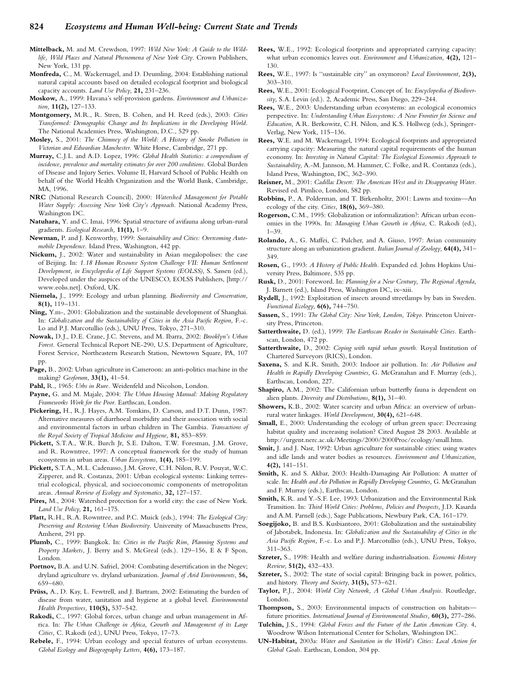- **Mittelback,** M. and M. Crewdson, 1997: *Wild New York: A Guide to the Wildlife, Wild Places and Natural Phenomena of New York City.* Crown Publishers, New York, 131 pp.
- **Monfreda,** C., M. Wackernagel, and D. Deumling, 2004: Establishing national natural capital accounts based on detailed ecological footprint and biological capacity accounts. *Land Use Policy,* **21,** 231–236.
- **Moskow,** A., 1999: Havana's self-provision gardens. *Environment and Urbanization,* **11(2),** 127–133.
- **Montgomery,** M.R., R. Stren, B. Cohen, and H. Reed (eds.), 2003: *Cities Transformed: Demographic Change and Its Implications in the Developing World.* The National Academies Press, Washington, D.C., 529 pp.
- **Mosley,** S., 2001: *The Chimney of the World: A History of Smoke Pollution in Victorian and Edwardian Manchester.* White Horse, Cambridge, 271 pp.
- **Murray,** C. J.L. and A.D. Lopez, 1996: *Global Health Statistics: a compendium of incidence, prevalence and mortality estimates for over 200 conditions.* Global Burden of Disease and Injury Series. Volume II, Harvard School of Public Health on behalf of the World Health Organization and the World Bank, Cambridge, MA, 1996.
- **NRC** (National Research Council), 2000: *Watershed Management for Potable Water Supply: Assessing New York City's Approach.* National Academy Press, Washington DC.
- **Natuhara,** Y. and C. Imai, 1996: Spatial structure of avifauna along urban-rural gradients. *Ecological Research,* **11(1),** 1–9.
- **Newman,** P. and J. Kenworthy, 1999: *Sustainability and Cities: Overcoming Automobile Dependence.* Island Press, Washington, 442 pp.
- **Nickum,** J., 2002: Water and sustainability in Asian megalopolises: the case of Beijing. In: *1.18 Human Resource System Challenge VII: Human Settlement Development, in Encyclopedia of Life Support Systems (EOLSS),* S. Sassen (ed.), Developed under the auspices of the UNESCO, EOLSS Publishers, [http:// www.eolss.net]. Oxford, UK.
- **Niemela,** J., 1999: Ecology and urban planning. *Biodiversity and Conservation,* **8(1),** 119–131.
- **Ning,** Y.m-, 2001: Globalization and the sustainable development of Shanghai. In: *Globalization and the Sustainability of Cities in the Asia Pacific Region,* F.-c. Lo and P.J. Marcotullio (eds.), UNU Press, Tokyo, 271-310.
- **Nowak,** D. J., D.E. Crane, J.C. Stevens, and M. Ibarra, 2002: *Brooklyn's Urban Forest.* General Technical Report NE-290, U.S. Department of Agriculture, Forest Service, Northeastern Research Station, Newtown Square, PA, 107 pp.
- **Page,** B., 2002: Urban agriculture in Cameroon: an anti-politics machine in the making? *Geoforum,* **33(1),** 41–54.
- **Pahl,** R., 1965: *Urbs in Rure.* Weidenfeld and Nicolson, London.
- **Payne,** G. and M. Majale, 2004: *The Urban Housing Manual: Making Regulatory Frameworks Work for the Poor.* Earthscan, London.
- **Pickering,** H., R. J. Hayes, A.M. Tomkins, D. Carson, and D.T. Dunn, 1987: Alternative measures of diarrhoeal morbidity and their association with social and environmental factors in urban children in The Gambia. *Transactions of the Royal Society of Tropical Medicine and Hygiene,* **81,** 853–859.
- Pickett, S.T.A., W.R. Burch Jr, S.E. Dalton, T.W. Foresman, J.M. Grove, and R. Rowntree, 1997: A conceptual framework for the study of human ecosystems in urban areas. *Urban Ecosystems,* **1(4),** 185–199.
- **Pickett,** S.T.A., M.L. Cadenasso, J.M. Grove, C.H. Nilon, R.V. Pouyat, W.C. Zipperer, and R. Costanza, 2001: Urban ecological systems: Linking terrestrial ecological, physical, and socioeconomic components of metropolitan areas. *Annual Review of Ecology and Systematics,* **32,** 127–157.
- **Pires,** M., 2004: Watershed protection for a world city: the case of New York. *Land Use Policy,* **21,** 161–175.
- **Platt,** R.H., R.A. Rowntree, and P.C. Muick (eds.), 1994: *The Ecological City: Preserving and Restoring Urban Biodiversity.* University of Massachusetts Press, Amherst, 291 pp.
- **Plumb,** C., 1999: Bangkok. In: *Cities in the Pacific Rim, Planning Systems and Property Markets,* J. Berry and S. McGreal (eds.). 129–156, E & F Spon, London.
- **Portnov,** B.A. and U.N. Safriel, 2004: Combating desertification in the Negev; dryland agriculture vs. dryland urbanization. *Journal of Arid Environments,* **56,** 659–680.
- Prüss, A., D. Kay, L. Fewtrell, and J. Bartram, 2002: Estimating the burden of disease from water, sanitation and hygiene at a global level. *Environmental Health Perspectives,* **110(5),** 537–542.
- **Rakodi,** C., 1997: Global forces, urban change and urban management in Africa. In: *The Urban Challenge in Africa, Growth and Management of its Large Cities,* C. Rakodi (ed.), UNU Press, Tokyo, 17–73.
- **Rebele,** F., 1994: Urban ecology and special features of urban ecosystems. *Global Ecology and Biogeography Letters,* **4(6),** 173–187.
- **Rees,** W.E., 1992: Ecological footprints and appropriated carrying capacity: what urban economics leaves out. *Environment and Urbanization,* **4(2),** 121– 130.
- **Rees,** W.E., 1997: Is ''sustainable city'' an oxymoron? *Local Environment,* **2(3),** 303–310.
- **Rees,** W.E., 2001: Ecological Footprint, Concept of. In: *Encyclopedia of Biodiversity,* S.A. Levin (ed.). 2, Academic Press, San Diego, 229–244.
- **Rees,** W.E., 2003: Understanding urban ecosystems: an ecological economics perspective. In: *Understanding Urban Ecosystems: A New Frontier for Science and Education,* A.R. Berkowitz, C.H. Nilon, and K.S. Hollweg (eds.), Springer-Verlag, New York, 115–136.
- **Rees,** W.E. and M. Wackernagel, 1994: Ecological footprints and appropriated carrying capacity: Measuring the natural capital requirements of the human economy. In: *Investing in Natural Capital: The Ecological Economics Approach to Sustainability,* A.-M. Jannson, M. Hammer, C. Folke, and R. Contanza (eds.), Island Press, Washington, DC, 362–390.
- **Reisner,** M., 2001: *Cadillac Desert: The American West and its Disappearing Water.* Revised ed. Pimlico, London, 582 pp.
- **Robbins,** P., A. Polderman, and T. Birkenholtz, 2001: Lawns and toxins—An ecology of the city. *Cities,* **18(6),** 369–380.
- **Rogerson,** C.M., 1995: Globalization or informalization?: African urban economies in the 1990s. In: *Managing Urban Growth in Africa,* C. Rakodi (ed.), 1–39.
- **Rolando,** A., G. Maffei, C. Pulcher, and A. Giuso, 1997: Avian community structure along an urbanization gradient. *Italian Journal of Zoology,* **64(4),** 341– 349.
- **Rosen,** G., 1993: *A History of Public Health.* Expanded ed. Johns Hopkins University Press, Baltimore, 535 pp.
- **Rusk,** D., 2001: Foreword. In: *Planning for a New Century, The Regional Agenda,* J. Barnett (ed.), Island Press, Washington DC, ix–xiii.
- **Rydell,** J., 1992: Exploitation of insects around streetlamps by bats in Sweden. *Functional Ecology,* **6(6),** 744–750.
- **Sassen,** S., 1991: *The Global City: New York, London, Tokyo.* Princeton University Press, Princeton.
- **Satterthwaite,** D. (ed.), 1999: *The Earthscan Reader in Sustainable Cities.* Earthscan, London, 472 pp.
- **Satterthwaite,** D., 2002: *Coping with rapid urban growth.* Royal Institution of Chartered Surveyors (RICS), London.
- **Saxena,** S. and K.R. Smith, 2003: Indoor air pollution. In: *Air Pollution and Health in Rapidly Developing Countries,* G. McGranahan and F. Murray (eds.), Earthscan, London, 227.
- **Shapiro,** A.M., 2002: The Californian urban butterfly fauna is dependent on alien plants. *Diversity and Distributions,* **8(1),** 31–40.
- **Showers,** K.B., 2002: Water scarcity and urban Africa: an overview of urbanrural water linkages. *World Development,* **30(4),** 621–648.
- Small, E., 2000: Understanding the ecology of urban green space: Decreasing habitat quality and increasing isolation? Cited August 28 2003. Available at http://urgent.nerc.ac.uk/Meetings/2000/2000Proc/ecology/small.htm.
- **Smit,** J. and J. Nasr, 1992: Urban agriculture for sustainable cities: using wastes and idle lands and water bodies as resources. *Environment and Urbanization,* **4(2),** 141–151.
- **Smith,** K. and S. Akbar, 2003: Health-Damaging Air Pollution: A matter of scale. In: *Health and Air Pollution in Rapidly Developing Countries,* G. McGranahan and F. Murray (eds.), Earthscan, London.
- **Smith,** K.R. and Y.-S.F. Lee, 1993: Urbanization and the Environmental Risk Transition. In: *Third World Cities: Problems, Policies and Prospects,* J.D. Kasarda and A.M. Parnell (eds.), Sage Publications, Newbury Park, CA, 161–179.
- **Soegijoko,** B. and B.S. Kusbiantoro, 2001: Globalization and the sustainability of Jabotabek, Indonesia. In: *Globalization and the Sustainability of Cities in the Asia Pacific Region,* F.-c. Lo and P. J. Marcotullio (eds.), UNU Press, Tokyo, 311–363.
- **Szreter,** S., 1998: Health and welfare during industrialisation. *Economic History Review,* **51(2),** 432–433.
- **Szreter,** S., 2002: The state of social capital: Bringing back in power, politics, and history. *Theory and Society,* **31(5),** 573–621.
- **Taylor,** P. J., 2004: *World City Network, A Global Urban Analysis.* Routledge, London.
- **Thompson,** S., 2003: Environmental impacts of construction on habitats future priorities. *International Journal of Environmental Studies,* **60(3),** 277–286.
- **Tulchin,** J.S., 1994: *Global Forces and the Future of the Latin American City.* 4, Woodrow Wilson International Center for Scholars, Washington DC.
- **UN-Habitat,** 2003a: *Water and Sanitation in the World's Cities: Local Action for Global Goals.* Earthscan, London, 304 pp.